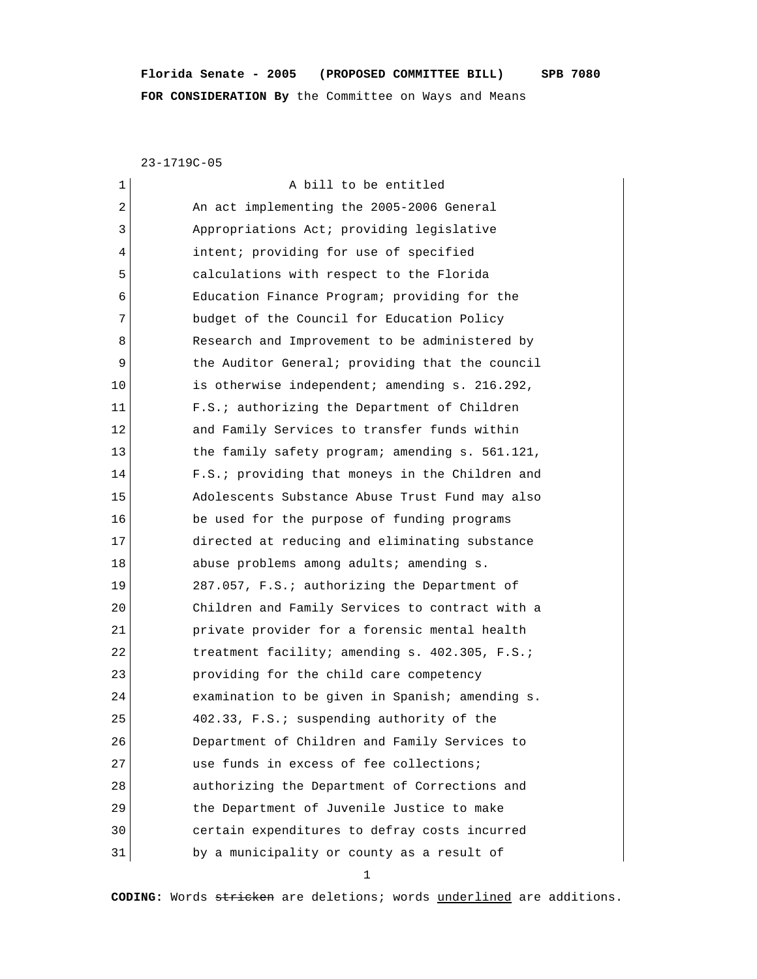# **Florida Senate - 2005 (PROPOSED COMMITTEE BILL) SPB 7080 FOR CONSIDERATION By** the Committee on Ways and Means

23-1719C-05

| 1  | A bill to be entitled                           |
|----|-------------------------------------------------|
| 2  | An act implementing the 2005-2006 General       |
| 3  | Appropriations Act; providing legislative       |
| 4  | intent; providing for use of specified          |
| 5  | calculations with respect to the Florida        |
| 6  | Education Finance Program; providing for the    |
| 7  | budget of the Council for Education Policy      |
| 8  | Research and Improvement to be administered by  |
| 9  | the Auditor General; providing that the council |
| 10 | is otherwise independent; amending s. 216.292,  |
| 11 | F.S.; authorizing the Department of Children    |
| 12 | and Family Services to transfer funds within    |
| 13 | the family safety program; amending s. 561.121, |
| 14 | F.S.; providing that moneys in the Children and |
| 15 | Adolescents Substance Abuse Trust Fund may also |
| 16 | be used for the purpose of funding programs     |
| 17 | directed at reducing and eliminating substance  |
| 18 | abuse problems among adults; amending s.        |
| 19 | 287.057, F.S.; authorizing the Department of    |
| 20 | Children and Family Services to contract with a |
| 21 | private provider for a forensic mental health   |
| 22 | treatment facility; amending s. 402.305, F.S.;  |
| 23 | providing for the child care competency         |
| 24 | examination to be given in Spanish; amending s. |
| 25 | 402.33, F.S.; suspending authority of the       |
| 26 | Department of Children and Family Services to   |
| 27 | use funds in excess of fee collections;         |
| 28 | authorizing the Department of Corrections and   |
| 29 | the Department of Juvenile Justice to make      |
| 30 | certain expenditures to defray costs incurred   |
| 31 | by a municipality or county as a result of      |

1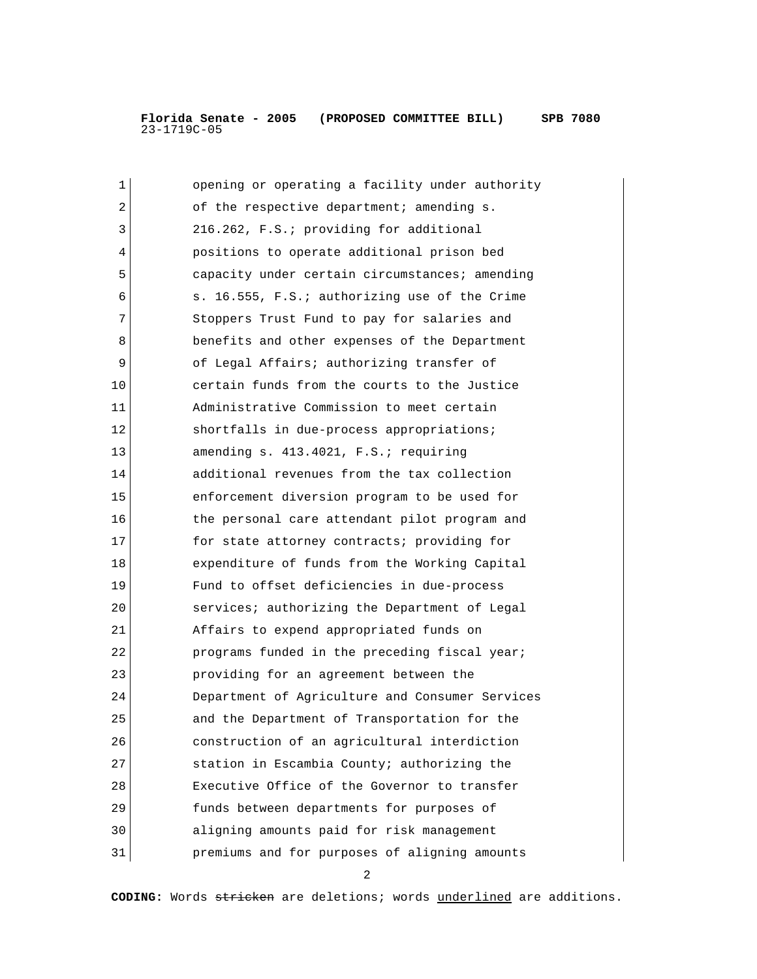| 1  | opening or operating a facility under authority |
|----|-------------------------------------------------|
| 2  | of the respective department; amending s.       |
| 3  | 216.262, F.S.; providing for additional         |
| 4  | positions to operate additional prison bed      |
| 5  | capacity under certain circumstances; amending  |
| 6  | s. 16.555, F.S.; authorizing use of the Crime   |
| 7  | Stoppers Trust Fund to pay for salaries and     |
| 8  | benefits and other expenses of the Department   |
| 9  | of Legal Affairs; authorizing transfer of       |
| 10 | certain funds from the courts to the Justice    |
| 11 | Administrative Commission to meet certain       |
| 12 | shortfalls in due-process appropriations;       |
| 13 | amending s. 413.4021, F.S.; requiring           |
| 14 | additional revenues from the tax collection     |
| 15 | enforcement diversion program to be used for    |
| 16 | the personal care attendant pilot program and   |
| 17 | for state attorney contracts; providing for     |
| 18 | expenditure of funds from the Working Capital   |
| 19 | Fund to offset deficiencies in due-process      |
| 20 | services; authorizing the Department of Legal   |
| 21 | Affairs to expend appropriated funds on         |
| 22 | programs funded in the preceding fiscal year;   |
| 23 | providing for an agreement between the          |
| 24 | Department of Agriculture and Consumer Services |
| 25 | and the Department of Transportation for the    |
| 26 | construction of an agricultural interdiction    |
| 27 | station in Escambia County; authorizing the     |
| 28 | Executive Office of the Governor to transfer    |
| 29 | funds between departments for purposes of       |
| 30 | aligning amounts paid for risk management       |
| 31 | premiums and for purposes of aligning amounts   |

2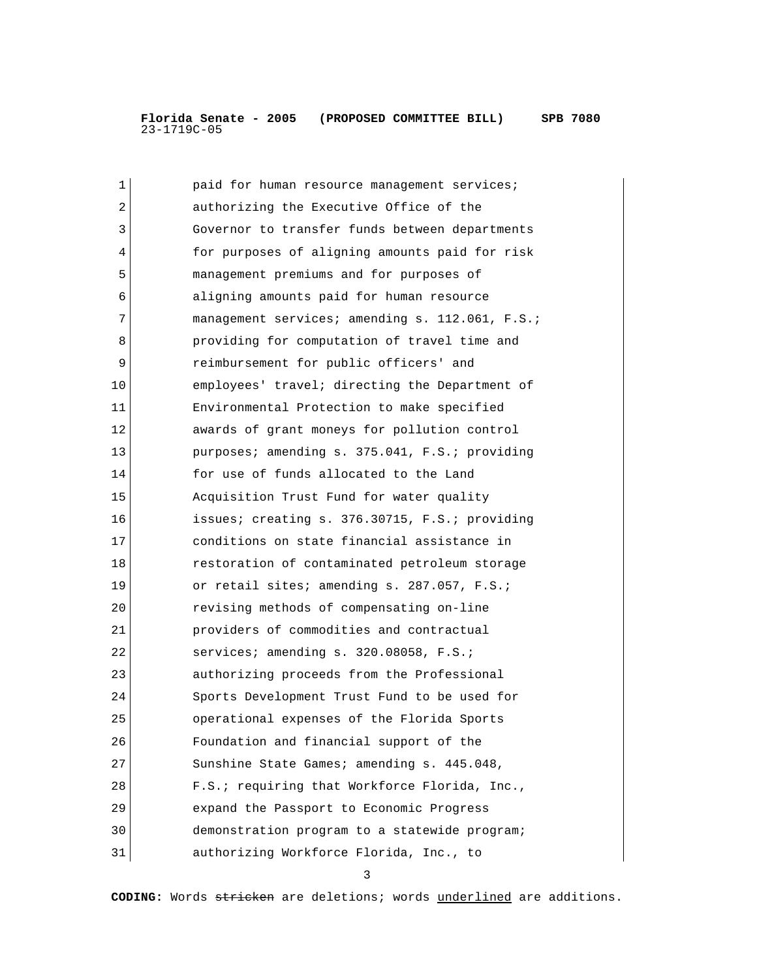| 1  | paid for human resource management services;    |
|----|-------------------------------------------------|
| 2  | authorizing the Executive Office of the         |
| 3  | Governor to transfer funds between departments  |
| 4  | for purposes of aligning amounts paid for risk  |
| 5  | management premiums and for purposes of         |
| 6  | aligning amounts paid for human resource        |
| 7  | management services; amending s. 112.061, F.S.; |
| 8  | providing for computation of travel time and    |
| 9  | reimbursement for public officers' and          |
| 10 | employees' travel; directing the Department of  |
| 11 | Environmental Protection to make specified      |
| 12 | awards of grant moneys for pollution control    |
| 13 | purposes; amending s. 375.041, F.S.; providing  |
| 14 | for use of funds allocated to the Land          |
| 15 | Acquisition Trust Fund for water quality        |
| 16 | issues; creating s. 376.30715, F.S.; providing  |
| 17 | conditions on state financial assistance in     |
| 18 | restoration of contaminated petroleum storage   |
| 19 | or retail sites; amending s. 287.057, F.S.;     |
| 20 | revising methods of compensating on-line        |
| 21 | providers of commodities and contractual        |
| 22 | services; amending s. 320.08058, F.S.;          |
| 23 | authorizing proceeds from the Professional      |
| 24 | Sports Development Trust Fund to be used for    |
| 25 | operational expenses of the Florida Sports      |
| 26 | Foundation and financial support of the         |
| 27 | Sunshine State Games; amending s. 445.048,      |
| 28 | F.S.; requiring that Workforce Florida, Inc.,   |
| 29 | expand the Passport to Economic Progress        |
| 30 | demonstration program to a statewide program;   |
| 31 | authorizing Workforce Florida, Inc., to         |

3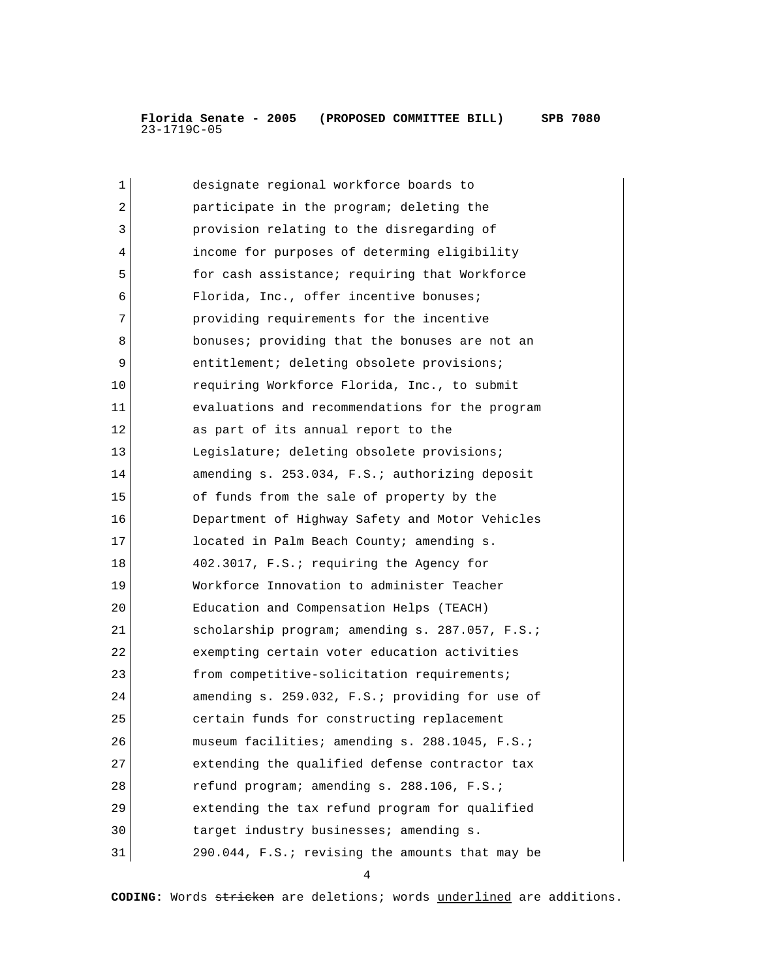| 1  | designate regional workforce boards to          |
|----|-------------------------------------------------|
| 2  | participate in the program; deleting the        |
| 3  | provision relating to the disregarding of       |
| 4  | income for purposes of determing eligibility    |
| 5  | for cash assistance; requiring that Workforce   |
| 6  | Florida, Inc., offer incentive bonuses;         |
| 7  | providing requirements for the incentive        |
| 8  | bonuses; providing that the bonuses are not an  |
| 9  | entitlement; deleting obsolete provisions;      |
| 10 | requiring Workforce Florida, Inc., to submit    |
| 11 | evaluations and recommendations for the program |
| 12 | as part of its annual report to the             |
| 13 | Legislature; deleting obsolete provisions;      |
| 14 | amending s. 253.034, F.S.; authorizing deposit  |
| 15 | of funds from the sale of property by the       |
| 16 | Department of Highway Safety and Motor Vehicles |
| 17 | located in Palm Beach County; amending s.       |
| 18 | 402.3017, F.S.; requiring the Agency for        |
| 19 | Workforce Innovation to administer Teacher      |
| 20 | Education and Compensation Helps (TEACH)        |
| 21 | scholarship program; amending s. 287.057, F.S.; |
| 22 | exempting certain voter education activities    |
| 23 | from competitive-solicitation requirements;     |
| 24 | amending s. 259.032, F.S.; providing for use of |
| 25 | certain funds for constructing replacement      |
| 26 | museum facilities; amending s. 288.1045, F.S.;  |
| 27 | extending the qualified defense contractor tax  |
| 28 | refund program; amending s. 288.106, F.S.;      |
| 29 | extending the tax refund program for qualified  |
| 30 | target industry businesses; amending s.         |
| 31 | 290.044, F.S.; revising the amounts that may be |

4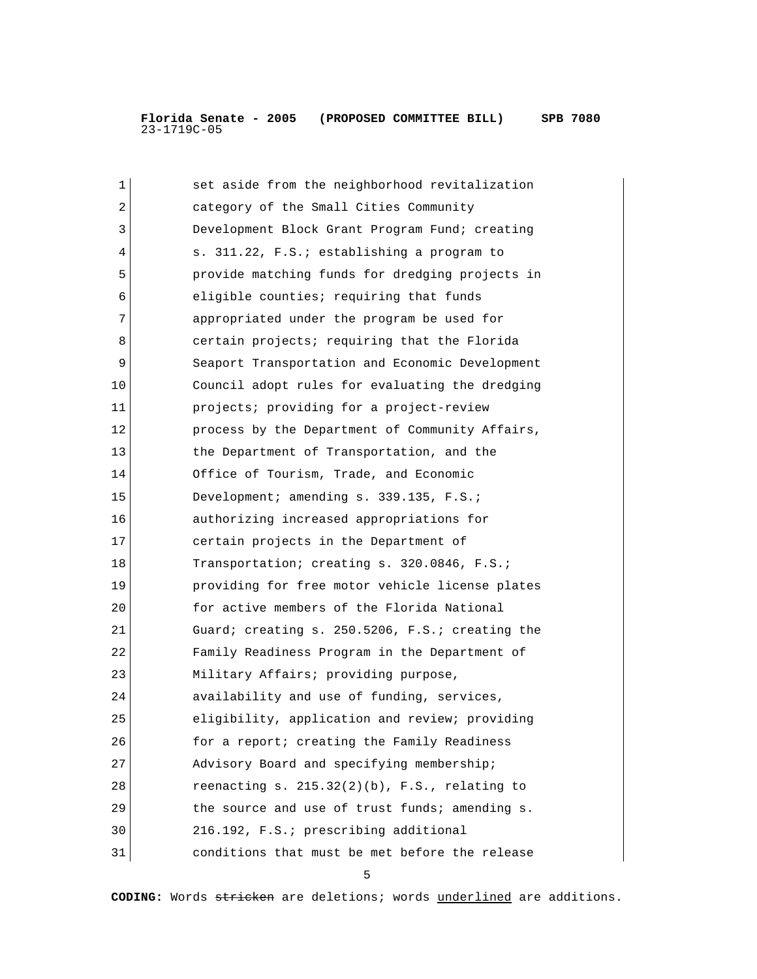| 1  | set aside from the neighborhood revitalization      |
|----|-----------------------------------------------------|
| 2  | category of the Small Cities Community              |
| 3  | Development Block Grant Program Fund; creating      |
| 4  | s. 311.22, F.S.; establishing a program to          |
| 5  | provide matching funds for dredging projects in     |
| 6  | eligible counties; requiring that funds             |
| 7  | appropriated under the program be used for          |
| 8  | certain projects; requiring that the Florida        |
| 9  | Seaport Transportation and Economic Development     |
| 10 | Council adopt rules for evaluating the dredging     |
| 11 | projects; providing for a project-review            |
| 12 | process by the Department of Community Affairs,     |
| 13 | the Department of Transportation, and the           |
| 14 | Office of Tourism, Trade, and Economic              |
| 15 | Development; amending s. 339.135, F.S.;             |
| 16 | authorizing increased appropriations for            |
| 17 | certain projects in the Department of               |
| 18 | Transportation; creating s. 320.0846, F.S.;         |
| 19 | providing for free motor vehicle license plates     |
| 20 | for active members of the Florida National          |
| 21 | Guard; creating s. 250.5206, F.S.; creating the     |
| 22 | Family Readiness Program in the Department of       |
| 23 | Military Affairs; providing purpose,                |
| 24 | availability and use of funding, services,          |
| 25 | eligibility, application and review; providing      |
| 26 | for a report; creating the Family Readiness         |
| 27 | Advisory Board and specifying membership;           |
| 28 | reenacting $s. 215.32(2)(b)$ , $F.S.$ , relating to |
| 29 | the source and use of trust funds; amending s.      |
| 30 | 216.192, F.S.; prescribing additional               |
| 31 | conditions that must be met before the release      |

 $\sim$  5  $\sim$  5  $\sim$  5  $\sim$  5  $\sim$  5  $\sim$  5  $\sim$  5  $\sim$  5  $\sim$  5  $\sim$  5  $\sim$  5  $\sim$  5  $\sim$  5  $\sim$  5  $\sim$  5  $\sim$  5  $\sim$  5  $\sim$  5  $\sim$  5  $\sim$  5  $\sim$  5  $\sim$  5  $\sim$  5  $\sim$  5  $\sim$  5  $\sim$  5  $\sim$  5  $\sim$  5  $\sim$  5  $\sim$  5  $\sim$  5  $\sim$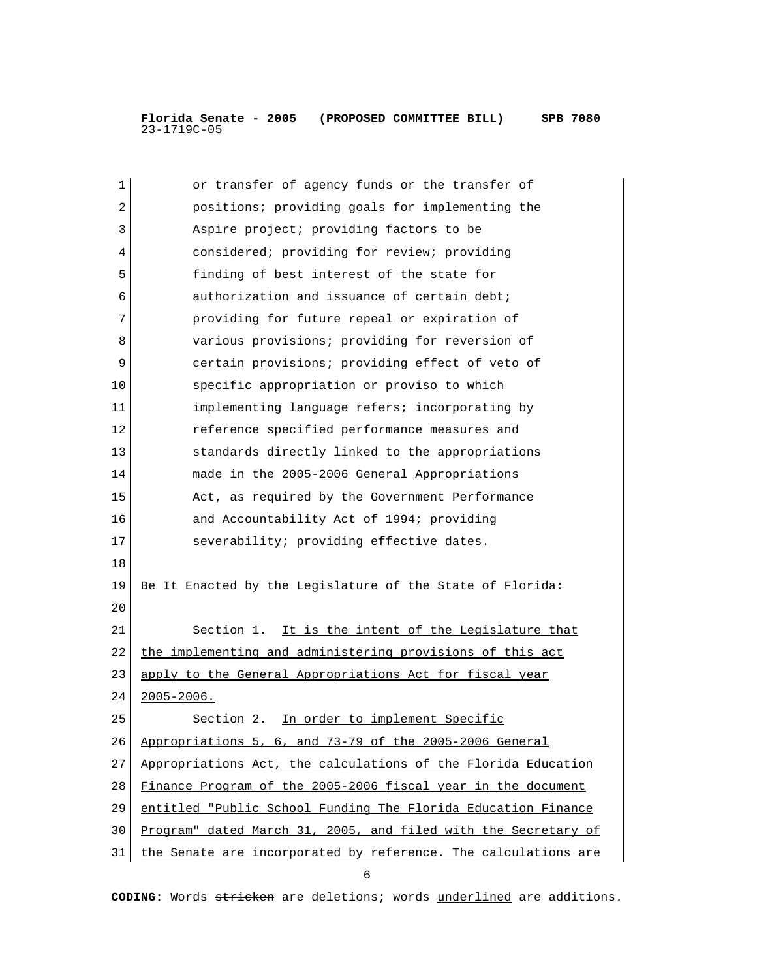| $\mathbf 1$ | or transfer of agency funds or the transfer of                 |
|-------------|----------------------------------------------------------------|
| 2           | positions; providing goals for implementing the                |
| 3           | Aspire project; providing factors to be                        |
| 4           | considered; providing for review; providing                    |
| 5           | finding of best interest of the state for                      |
| 6           | authorization and issuance of certain debt;                    |
| 7           | providing for future repeal or expiration of                   |
| 8           | various provisions; providing for reversion of                 |
| 9           | certain provisions; providing effect of veto of                |
| 10          | specific appropriation or proviso to which                     |
| 11          | implementing language refers; incorporating by                 |
| 12          | reference specified performance measures and                   |
| 13          | standards directly linked to the appropriations                |
| 14          | made in the 2005-2006 General Appropriations                   |
| 15          | Act, as required by the Government Performance                 |
| 16          | and Accountability Act of 1994; providing                      |
| 17          | severability; providing effective dates.                       |
| 18          |                                                                |
| 19          | Be It Enacted by the Legislature of the State of Florida:      |
| 20          |                                                                |
| 21          | Section 1. It is the intent of the Legislature that            |
| 22          | the implementing and administering provisions of this act      |
| 23          | apply to the General Appropriations Act for fiscal year        |
| 24          | $2005 - 2006$ .                                                |
| 25          | Section 2. In order to implement Specific                      |
| 26          | Appropriations 5, 6, and 73-79 of the 2005-2006 General        |
| 27          | Appropriations Act, the calculations of the Florida Education  |
| 28          | Finance Program of the 2005-2006 fiscal year in the document   |
| 29          | entitled "Public School Funding The Florida Education Finance  |
| 30          | Program" dated March 31, 2005, and filed with the Secretary of |
| 31          | the Senate are incorporated by reference. The calculations are |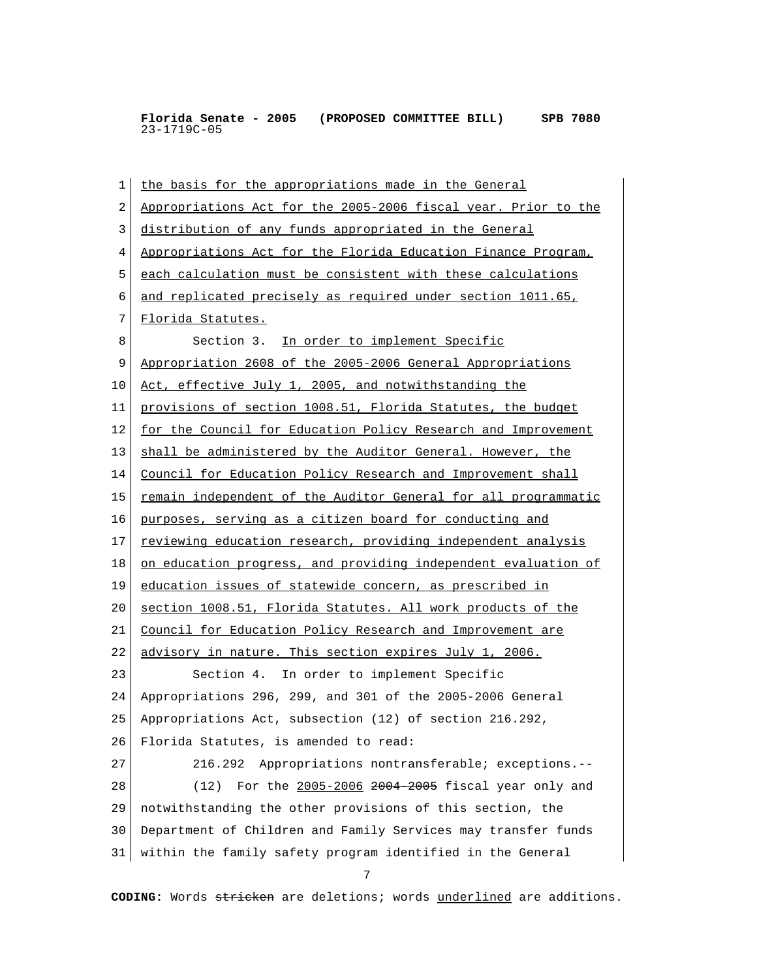1 the basis for the appropriations made in the General 2 Appropriations Act for the 2005-2006 fiscal year. Prior to the 3 distribution of any funds appropriated in the General 4 Appropriations Act for the Florida Education Finance Program, 5 each calculation must be consistent with these calculations 6 and replicated precisely as required under section 1011.65, 7 Florida Statutes. 8 Section 3. In order to implement Specific 9 Appropriation 2608 of the 2005-2006 General Appropriations 10 Act, effective July 1, 2005, and notwithstanding the 11 provisions of section 1008.51, Florida Statutes, the budget 12 for the Council for Education Policy Research and Improvement 13 shall be administered by the Auditor General. However, the 14 Council for Education Policy Research and Improvement shall 15 remain independent of the Auditor General for all programmatic 16 purposes, serving as a citizen board for conducting and 17 reviewing education research, providing independent analysis 18 on education progress, and providing independent evaluation of 19 education issues of statewide concern, as prescribed in 20 section 1008.51, Florida Statutes. All work products of the 21 Council for Education Policy Research and Improvement are 22 advisory in nature. This section expires July 1, 2006. 23 Section 4. In order to implement Specific 24 Appropriations 296, 299, and 301 of the 2005-2006 General 25 Appropriations Act, subsection (12) of section 216.292, 26 Florida Statutes, is amended to read: 27 216.292 Appropriations nontransferable; exceptions.-- 28 (12) For the 2005-2006 2004 2005 fiscal year only and 29 notwithstanding the other provisions of this section, the 30 Department of Children and Family Services may transfer funds 31 within the family safety program identified in the General 7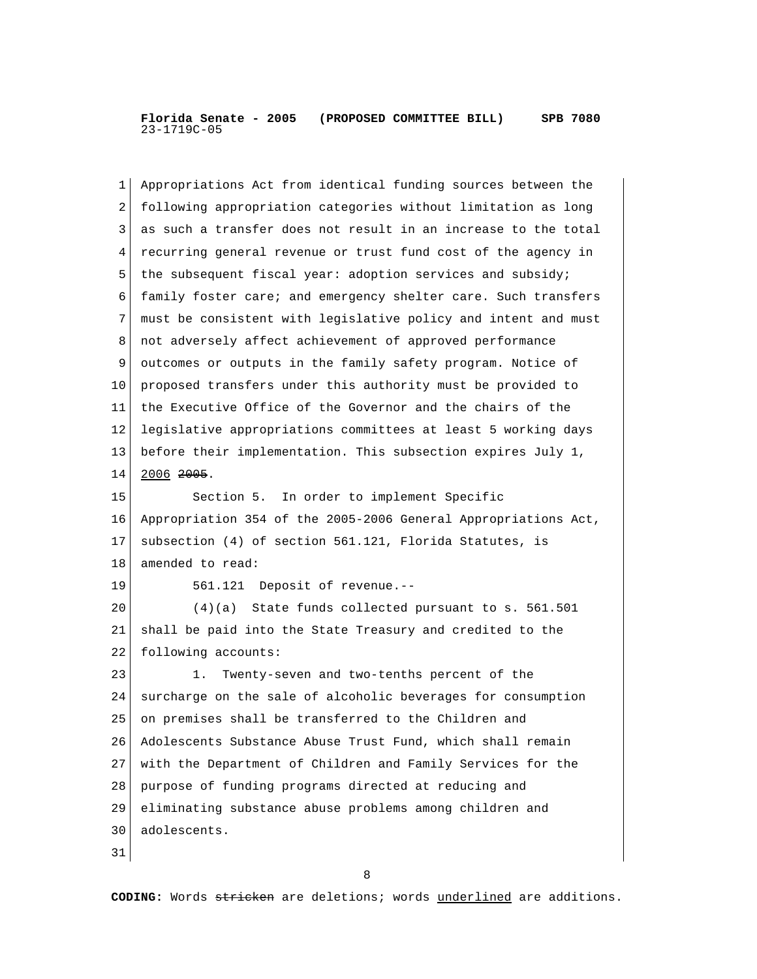| 1  | Appropriations Act from identical funding sources between the  |
|----|----------------------------------------------------------------|
| 2  | following appropriation categories without limitation as long  |
| 3  | as such a transfer does not result in an increase to the total |
| 4  | recurring general revenue or trust fund cost of the agency in  |
| 5  | the subsequent fiscal year: adoption services and subsidy;     |
| 6  | family foster care; and emergency shelter care. Such transfers |
| 7  | must be consistent with legislative policy and intent and must |
| 8  | not adversely affect achievement of approved performance       |
| 9  | outcomes or outputs in the family safety program. Notice of    |
| 10 | proposed transfers under this authority must be provided to    |
| 11 | the Executive Office of the Governor and the chairs of the     |
| 12 | legislative appropriations committees at least 5 working days  |
| 13 | before their implementation. This subsection expires July 1,   |
| 14 | $2006$ $2005$ .                                                |
| 15 | Section 5. In order to implement Specific                      |
| 16 | Appropriation 354 of the 2005-2006 General Appropriations Act, |
| 17 | subsection (4) of section 561.121, Florida Statutes, is        |
| 18 | amended to read:                                               |
| 19 | 561.121 Deposit of revenue.--                                  |
| 20 | $(4)(a)$ State funds collected pursuant to s. 561.501          |
| 21 | shall be paid into the State Treasury and credited to the      |
| 22 | following accounts:                                            |
| 23 | Twenty-seven and two-tenths percent of the<br>1.               |
| 24 | surcharge on the sale of alcoholic beverages for consumption   |
| 25 | on premises shall be transferred to the Children and           |
| 26 | Adolescents Substance Abuse Trust Fund, which shall remain     |
| 27 | with the Department of Children and Family Services for the    |
| 28 | purpose of funding programs directed at reducing and           |
| 29 | eliminating substance abuse problems among children and        |
| 30 | adolescents.                                                   |
| 31 |                                                                |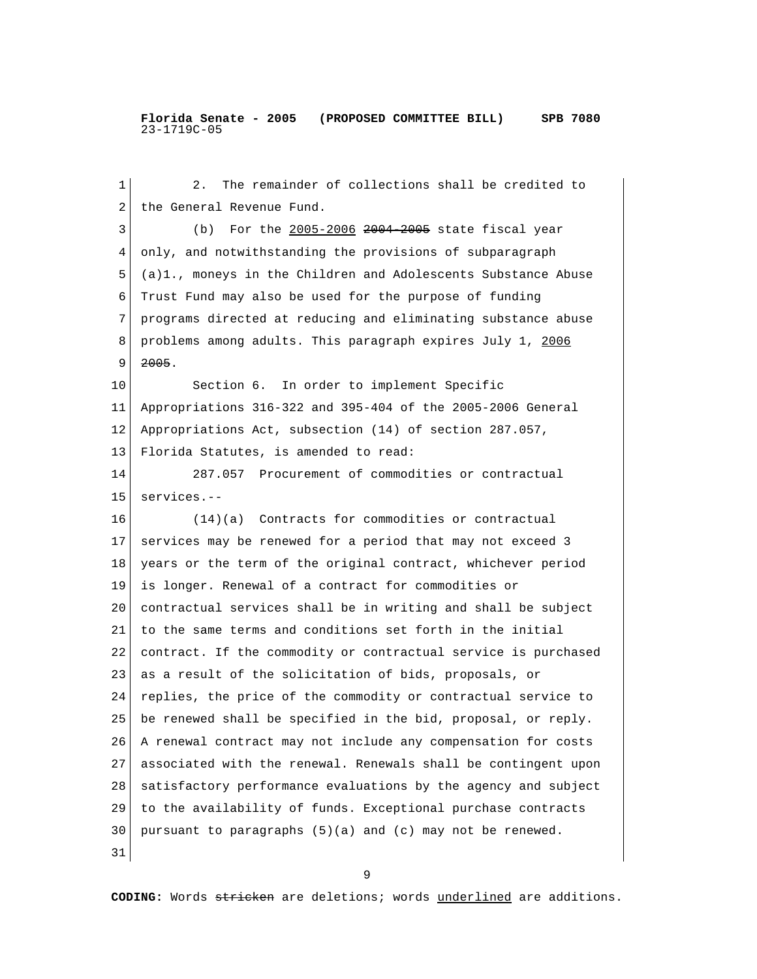1 2. The remainder of collections shall be credited to 2 the General Revenue Fund. 3 (b) For the 2005-2006 2004 2005 state fiscal year 4 only, and notwithstanding the provisions of subparagraph 5 (a)1., moneys in the Children and Adolescents Substance Abuse 6 Trust Fund may also be used for the purpose of funding 7 programs directed at reducing and eliminating substance abuse 8 problems among adults. This paragraph expires July 1, 2006  $9 \mid 2005$ . 10 Section 6. In order to implement Specific 11 Appropriations 316-322 and 395-404 of the 2005-2006 General 12 Appropriations Act, subsection (14) of section 287.057, 13 Florida Statutes, is amended to read: 14 287.057 Procurement of commodities or contractual 15 services.-- 16 (14)(a) Contracts for commodities or contractual 17 services may be renewed for a period that may not exceed 3 18 years or the term of the original contract, whichever period 19 is longer. Renewal of a contract for commodities or 20 contractual services shall be in writing and shall be subject 21 to the same terms and conditions set forth in the initial 22 contract. If the commodity or contractual service is purchased 23 as a result of the solicitation of bids, proposals, or 24 replies, the price of the commodity or contractual service to 25 be renewed shall be specified in the bid, proposal, or reply. 26 A renewal contract may not include any compensation for costs 27 associated with the renewal. Renewals shall be contingent upon 28 satisfactory performance evaluations by the agency and subject 29 to the availability of funds. Exceptional purchase contracts  $30$  pursuant to paragraphs  $(5)(a)$  and  $(c)$  may not be renewed. 31

9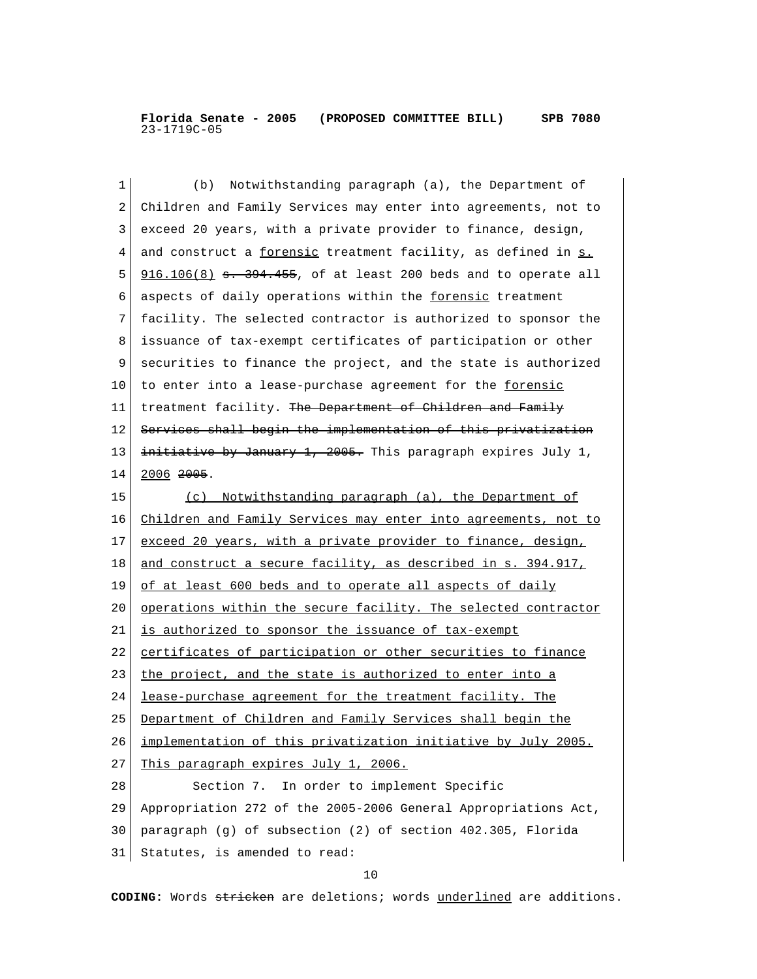| 1  | Notwithstanding paragraph (a), the Department of<br>(b)          |
|----|------------------------------------------------------------------|
| 2  | Children and Family Services may enter into agreements, not to   |
| 3  | exceed 20 years, with a private provider to finance, design,     |
| 4  | and construct a forensic treatment facility, as defined in s.    |
| 5  | $916.106(8)$ s. 394.455, of at least 200 beds and to operate all |
| 6  | aspects of daily operations within the forensic treatment        |
| 7  | facility. The selected contractor is authorized to sponsor the   |
| 8  | issuance of tax-exempt certificates of participation or other    |
| 9  | securities to finance the project, and the state is authorized   |
| 10 | to enter into a lease-purchase agreement for the forensic        |
| 11 | treatment facility. The Department of Children and Family        |
| 12 | Services shall begin the implementation of this privatization    |
| 13 | initiative by January 1, 2005. This paragraph expires July 1,    |
| 14 | $2006$ $2005$ .                                                  |
| 15 | (c) Notwithstanding paragraph (a), the Department of             |
| 16 | Children and Family Services may enter into agreements, not to   |
| 17 | exceed 20 years, with a private provider to finance, design,     |
| 18 | and construct a secure facility, as described in s. 394.917,     |
| 19 | of at least 600 beds and to operate all aspects of daily         |
| 20 | operations within the secure facility. The selected contractor   |
| 21 | is authorized to sponsor the issuance of tax-exempt              |
| 22 | certificates of participation or other securities to finance     |
| 23 | the project, and the state is authorized to enter into a         |
| 24 | lease-purchase agreement for the treatment facility. The         |
| 25 | Department of Children and Family Services shall begin the       |
| 26 | implementation of this privatization initiative by July 2005.    |
| 27 | This paragraph expires July 1, 2006.                             |
| 28 | Section 7. In order to implement Specific                        |
| 29 | Appropriation 272 of the 2005-2006 General Appropriations Act,   |
| 30 | paragraph (g) of subsection (2) of section 402.305, Florida      |
| 31 | Statutes, is amended to read:                                    |
|    | 10                                                               |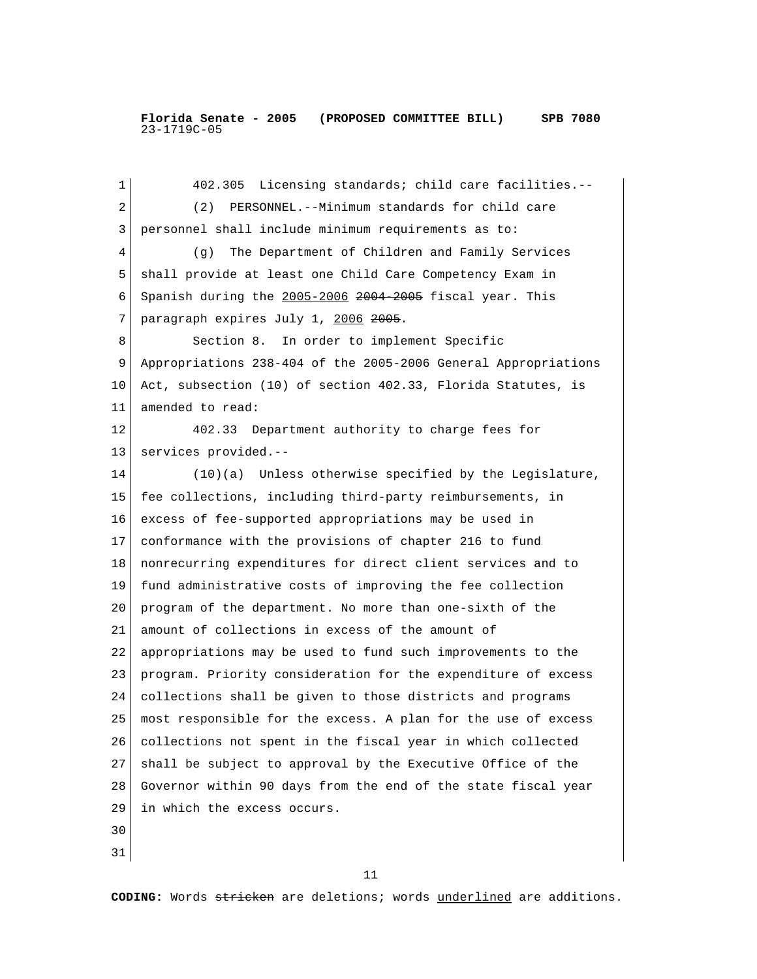1 402.305 Licensing standards; child care facilities.-- 2 (2) PERSONNEL.--Minimum standards for child care 3 personnel shall include minimum requirements as to: 4 (g) The Department of Children and Family Services 5 shall provide at least one Child Care Competency Exam in  $6$  Spanish during the  $2005-2006$   $2004$   $2005$  fiscal year. This 7 paragraph expires July 1, 2006 2005. 8 Section 8. In order to implement Specific 9 Appropriations 238-404 of the 2005-2006 General Appropriations 10 Act, subsection (10) of section 402.33, Florida Statutes, is 11 amended to read: 12 402.33 Department authority to charge fees for 13 services provided.-- 14 (10)(a) Unless otherwise specified by the Legislature, 15 fee collections, including third-party reimbursements, in 16 excess of fee-supported appropriations may be used in 17 conformance with the provisions of chapter 216 to fund 18 nonrecurring expenditures for direct client services and to 19 fund administrative costs of improving the fee collection 20 program of the department. No more than one-sixth of the 21 amount of collections in excess of the amount of 22 appropriations may be used to fund such improvements to the 23 program. Priority consideration for the expenditure of excess 24 collections shall be given to those districts and programs 25 most responsible for the excess. A plan for the use of excess 26 collections not spent in the fiscal year in which collected 27 shall be subject to approval by the Executive Office of the 28 Governor within 90 days from the end of the state fiscal year 29 in which the excess occurs. 30

31

 $11$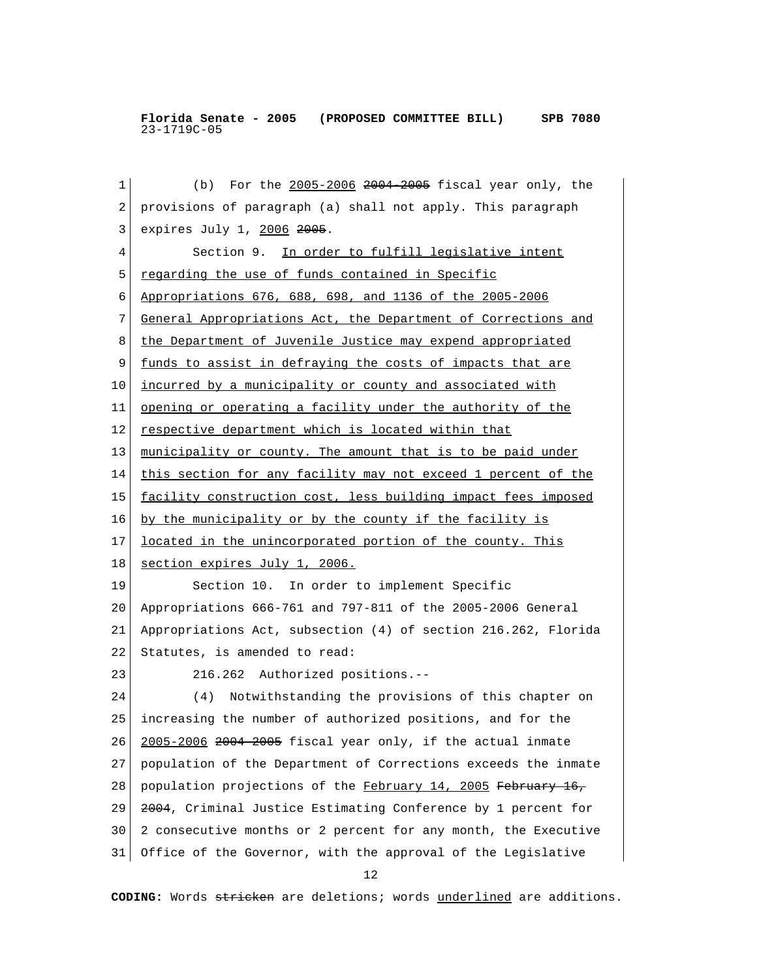1 (b) For the 2005-2006 2004 2005 fiscal year only, the 2 provisions of paragraph (a) shall not apply. This paragraph 3 expires July 1, 2006 2005. 4 Section 9. In order to fulfill legislative intent 5 regarding the use of funds contained in Specific 6 Appropriations 676, 688, 698, and 1136 of the 2005-2006 7 General Appropriations Act, the Department of Corrections and 8 the Department of Juvenile Justice may expend appropriated 9 <u>funds to assist in defraying the costs of impacts that are</u> 10 incurred by a municipality or county and associated with 11 opening or operating a facility under the authority of the 12 respective department which is located within that 13 | municipality or county. The amount that is to be paid under 14 this section for any facility may not exceed 1 percent of the 15 facility construction cost, less building impact fees imposed 16 by the municipality or by the county if the facility is 17 located in the unincorporated portion of the county. This 18 section expires July 1, 2006. 19 Section 10. In order to implement Specific 20 Appropriations 666-761 and 797-811 of the 2005-2006 General 21 Appropriations Act, subsection (4) of section 216.262, Florida 22 Statutes, is amended to read: 23 216.262 Authorized positions.-- 24 (4) Notwithstanding the provisions of this chapter on 25 increasing the number of authorized positions, and for the 26 2005-2006 2004-2005 fiscal year only, if the actual inmate 27 population of the Department of Corrections exceeds the inmate 28 population projections of the February 14, 2005 February 16, 29 2004, Criminal Justice Estimating Conference by 1 percent for 30 2 consecutive months or 2 percent for any month, the Executive 31 Office of the Governor, with the approval of the Legislative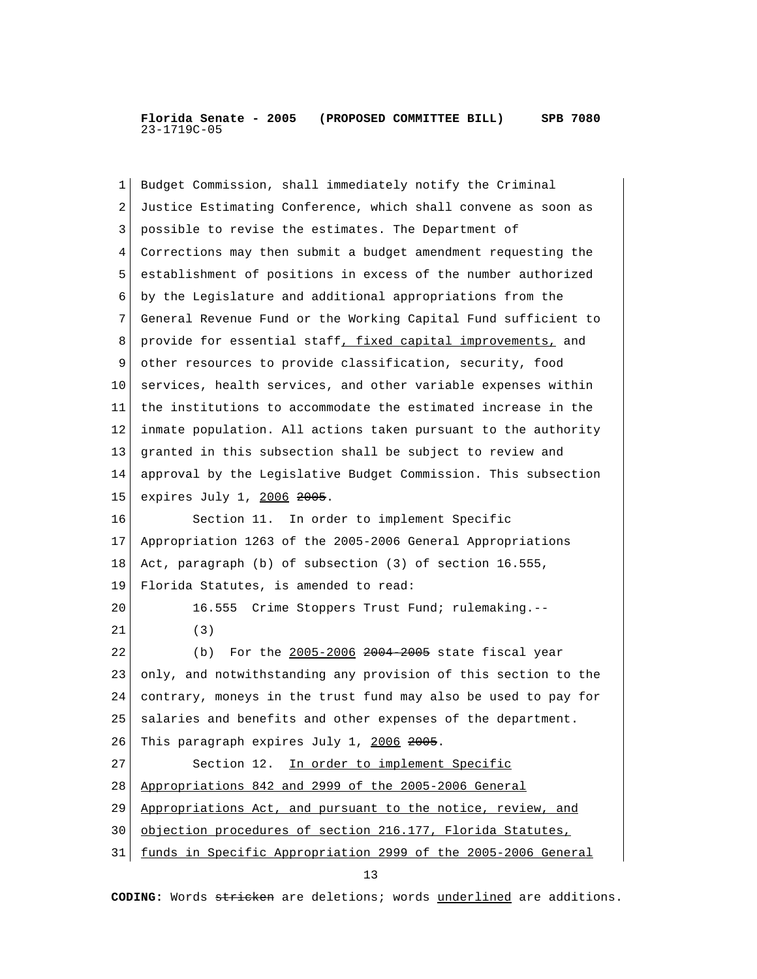1 Budget Commission, shall immediately notify the Criminal 2 Justice Estimating Conference, which shall convene as soon as 3 possible to revise the estimates. The Department of 4 Corrections may then submit a budget amendment requesting the 5 establishment of positions in excess of the number authorized 6 by the Legislature and additional appropriations from the 7 General Revenue Fund or the Working Capital Fund sufficient to 8 provide for essential staff, fixed capital improvements, and 9 other resources to provide classification, security, food 10 services, health services, and other variable expenses within 11 the institutions to accommodate the estimated increase in the 12 inmate population. All actions taken pursuant to the authority 13 granted in this subsection shall be subject to review and 14 approval by the Legislative Budget Commission. This subsection 15 expires July 1, 2006 2005. 16 Section 11. In order to implement Specific 17 Appropriation 1263 of the 2005-2006 General Appropriations 18 Act, paragraph (b) of subsection (3) of section 16.555, 19 Florida Statutes, is amended to read: 20 16.555 Crime Stoppers Trust Fund; rulemaking.-- 21 (3) 22 (b) For the 2005-2006 2004 2005 state fiscal year 23 only, and notwithstanding any provision of this section to the 24 contrary, moneys in the trust fund may also be used to pay for 25 salaries and benefits and other expenses of the department. 26 This paragraph expires July 1, 2006 2005. 27 Section 12. In order to implement Specific 28 Appropriations 842 and 2999 of the 2005-2006 General 29 Appropriations Act, and pursuant to the notice, review, and 30 objection procedures of section 216.177, Florida Statutes, 31 funds in Specific Appropriation 2999 of the 2005-2006 General 13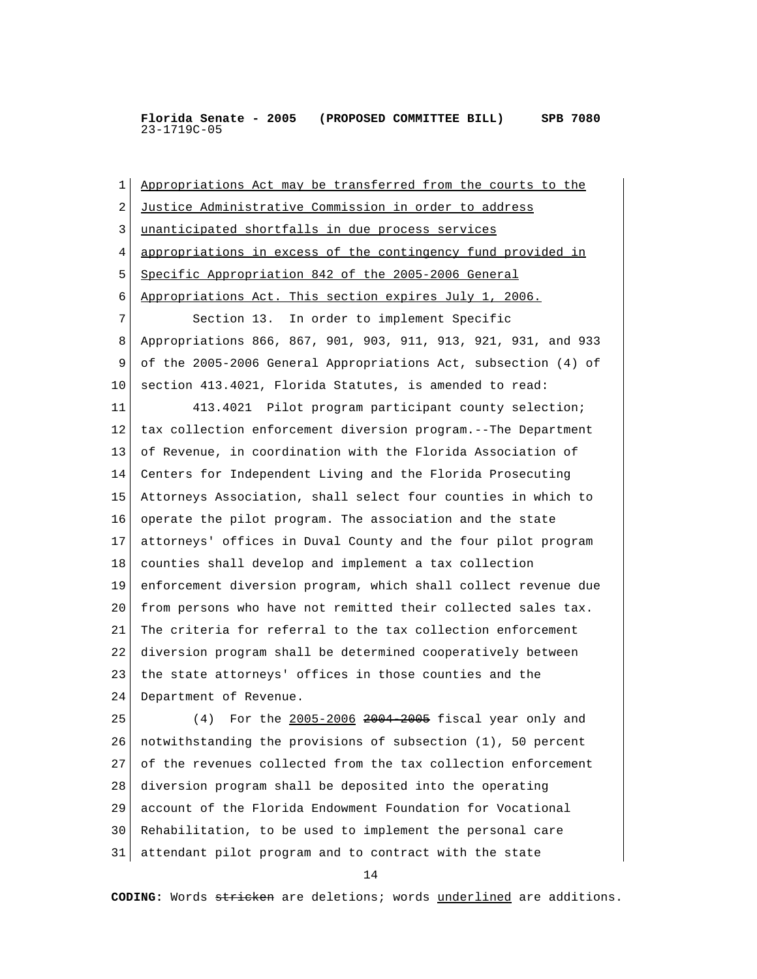1 Appropriations Act may be transferred from the courts to the 2 Justice Administrative Commission in order to address 3 unanticipated shortfalls in due process services 4 appropriations in excess of the contingency fund provided in 5 Specific Appropriation 842 of the 2005-2006 General 6 Appropriations Act. This section expires July 1, 2006. 7 Section 13. In order to implement Specific 8 Appropriations 866, 867, 901, 903, 911, 913, 921, 931, and 933 9 of the 2005-2006 General Appropriations Act, subsection (4) of 10 section 413.4021, Florida Statutes, is amended to read: 11 413.4021 Pilot program participant county selection; 12 tax collection enforcement diversion program.--The Department 13 of Revenue, in coordination with the Florida Association of 14 Centers for Independent Living and the Florida Prosecuting 15 Attorneys Association, shall select four counties in which to 16 operate the pilot program. The association and the state 17 attorneys' offices in Duval County and the four pilot program 18 counties shall develop and implement a tax collection 19 enforcement diversion program, which shall collect revenue due 20 from persons who have not remitted their collected sales tax. 21 The criteria for referral to the tax collection enforcement 22 diversion program shall be determined cooperatively between 23 the state attorneys' offices in those counties and the 24 Department of Revenue. 25 (4) For the 2005-2006 2004 2005 fiscal year only and 26 notwithstanding the provisions of subsection (1), 50 percent 27 of the revenues collected from the tax collection enforcement 28 diversion program shall be deposited into the operating 29 account of the Florida Endowment Foundation for Vocational 30 Rehabilitation, to be used to implement the personal care 31 attendant pilot program and to contract with the state

14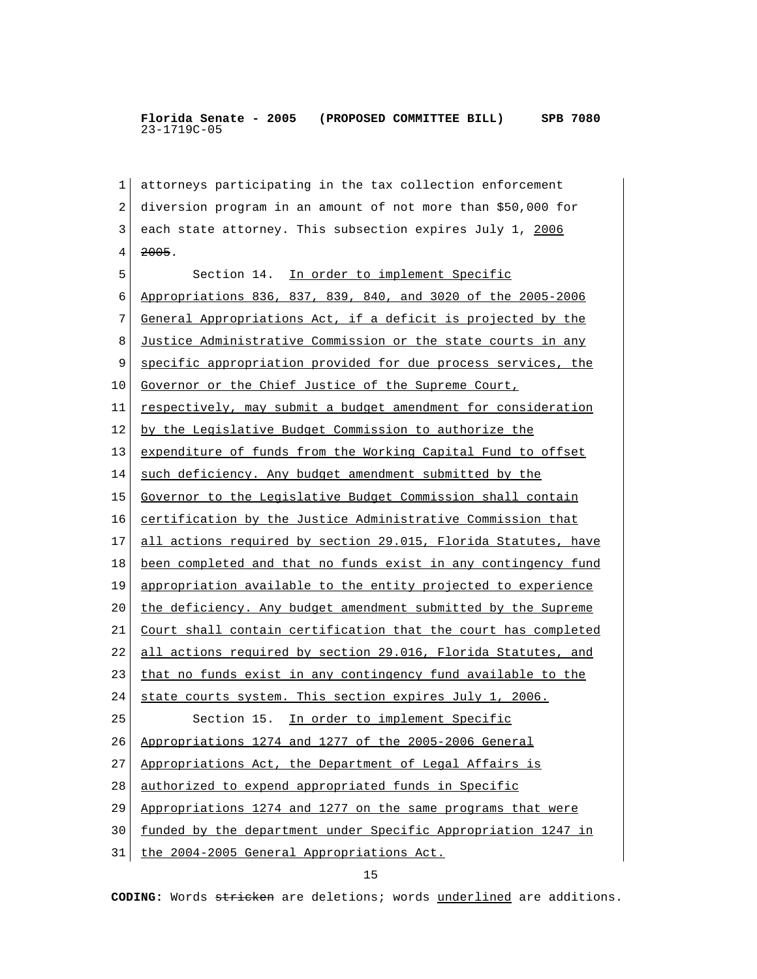1 attorneys participating in the tax collection enforcement 2 diversion program in an amount of not more than \$50,000 for 3 each state attorney. This subsection expires July 1, 2006  $4 \overline{2005}$ . 5 Section 14. In order to implement Specific 6 Appropriations 836, 837, 839, 840, and 3020 of the 2005-2006 7 General Appropriations Act, if a deficit is projected by the 8 Justice Administrative Commission or the state courts in any 9 specific appropriation provided for due process services, the 10 Governor or the Chief Justice of the Supreme Court, 11 respectively, may submit a budget amendment for consideration 12 by the Legislative Budget Commission to authorize the 13 expenditure of funds from the Working Capital Fund to offset 14 such deficiency. Any budget amendment submitted by the 15 Governor to the Legislative Budget Commission shall contain 16 certification by the Justice Administrative Commission that 17 all actions required by section 29.015, Florida Statutes, have 18 been completed and that no funds exist in any contingency fund 19 appropriation available to the entity projected to experience 20 the deficiency. Any budget amendment submitted by the Supreme 21 Court shall contain certification that the court has completed 22 all actions required by section 29.016, Florida Statutes, and 23 that no funds exist in any contingency fund available to the 24 state courts system. This section expires July 1, 2006. 25 Section 15. In order to implement Specific 26 Appropriations 1274 and 1277 of the 2005-2006 General 27 Appropriations Act, the Department of Legal Affairs is 28 authorized to expend appropriated funds in Specific 29 Appropriations 1274 and 1277 on the same programs that were 30 funded by the department under Specific Appropriation 1247 in 31 the 2004-2005 General Appropriations Act.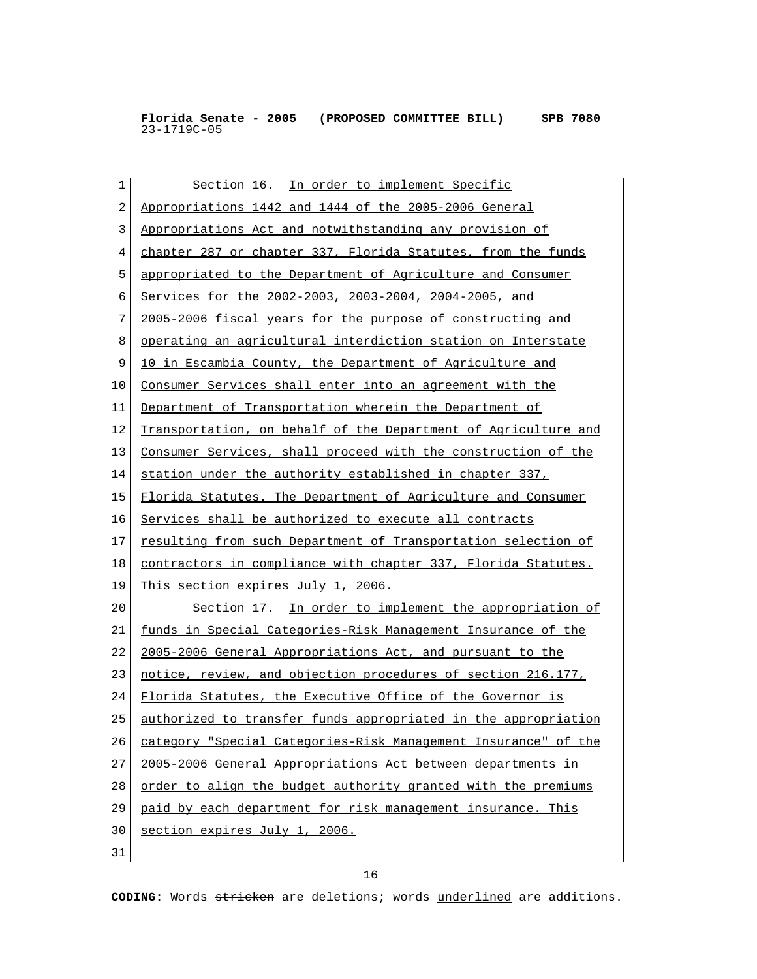| 1  | Section 16. In order to implement Specific                     |
|----|----------------------------------------------------------------|
| 2  | Appropriations 1442 and 1444 of the 2005-2006 General          |
| 3  | Appropriations Act and notwithstanding any provision of        |
| 4  | chapter 287 or chapter 337, Florida Statutes, from the funds   |
| 5  | appropriated to the Department of Agriculture and Consumer     |
| 6  | Services for the 2002-2003, 2003-2004, 2004-2005, and          |
| 7  | 2005-2006 fiscal years for the purpose of constructing and     |
| 8  | operating an agricultural interdiction station on Interstate   |
| 9  | 10 in Escambia County, the Department of Agriculture and       |
| 10 | Consumer Services shall enter into an agreement with the       |
| 11 | Department of Transportation wherein the Department of         |
| 12 | Transportation, on behalf of the Department of Agriculture and |
| 13 | Consumer Services, shall proceed with the construction of the  |
| 14 | station under the authority established in chapter 337,        |
| 15 | Florida Statutes. The Department of Agriculture and Consumer   |
| 16 | Services shall be authorized to execute all contracts          |
| 17 | resulting from such Department of Transportation selection of  |
| 18 | contractors in compliance with chapter 337, Florida Statutes.  |
| 19 | This section expires July 1, 2006.                             |
| 20 | Section 17. In order to implement the appropriation of         |
| 21 | funds in Special Categories-Risk Management Insurance of the   |
| 22 | 2005-2006 General Appropriations Act, and pursuant to the      |
| 23 | notice, review, and objection procedures of section 216.177,   |
| 24 | Florida Statutes, the Executive Office of the Governor is      |
| 25 | authorized to transfer funds appropriated in the appropriation |
| 26 | category "Special Categories-Risk Management Insurance" of the |
| 27 | 2005-2006 General Appropriations Act between departments in    |
| 28 | order to align the budget authority granted with the premiums  |
| 29 | paid by each department for risk management insurance. This    |
| 30 | section expires July 1, 2006.                                  |
| 31 |                                                                |

16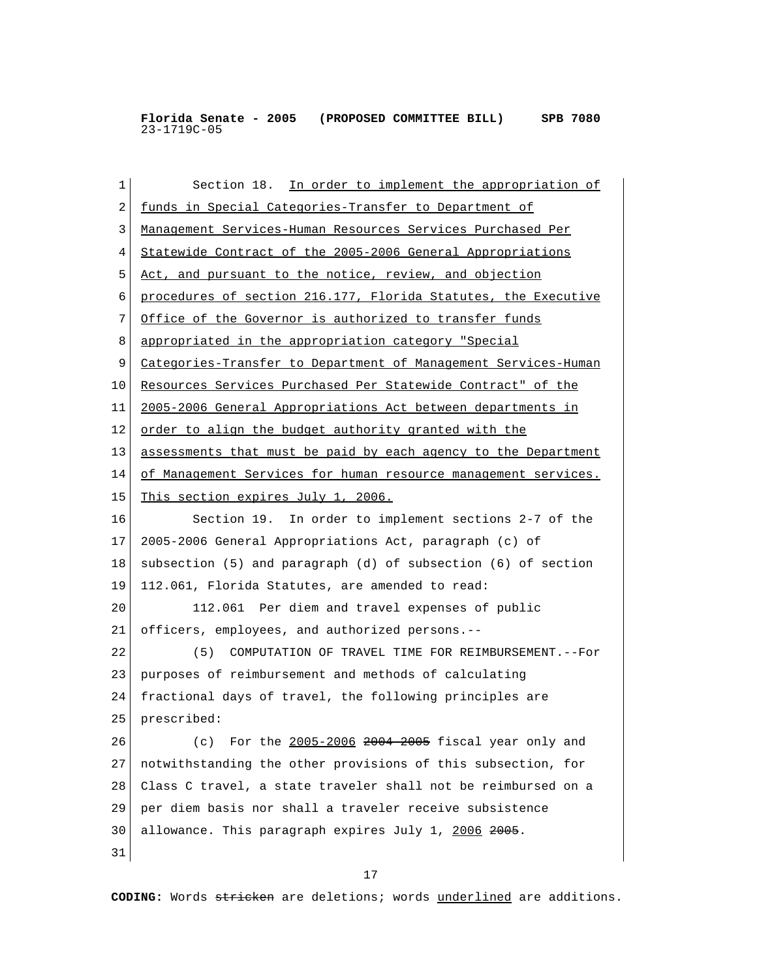1 Section 18. In order to implement the appropriation of 2 funds in Special Categories-Transfer to Department of 3 Management Services-Human Resources Services Purchased Per 4 Statewide Contract of the 2005-2006 General Appropriations 5 Act, and pursuant to the notice, review, and objection 6 procedures of section 216.177, Florida Statutes, the Executive 7 Office of the Governor is authorized to transfer funds 8 appropriated in the appropriation category "Special 9 Categories-Transfer to Department of Management Services-Human 10 Resources Services Purchased Per Statewide Contract" of the 11 2005-2006 General Appropriations Act between departments in 12 order to align the budget authority granted with the 13 assessments that must be paid by each agency to the Department 14 of Management Services for human resource management services. 15 This section expires July 1, 2006. 16 Section 19. In order to implement sections 2-7 of the 17 2005-2006 General Appropriations Act, paragraph (c) of 18 subsection (5) and paragraph (d) of subsection (6) of section 19 112.061, Florida Statutes, are amended to read: 20 112.061 Per diem and travel expenses of public 21 officers, employees, and authorized persons.-- 22 (5) COMPUTATION OF TRAVEL TIME FOR REIMBURSEMENT.--For 23 purposes of reimbursement and methods of calculating 24 fractional days of travel, the following principles are 25 prescribed: 26 (c) For the 2005-2006 2004 2005 fiscal year only and 27 notwithstanding the other provisions of this subsection, for 28 Class C travel, a state traveler shall not be reimbursed on a 29 per diem basis nor shall a traveler receive subsistence 30 allowance. This paragraph expires July 1, 2006 2005. 31

17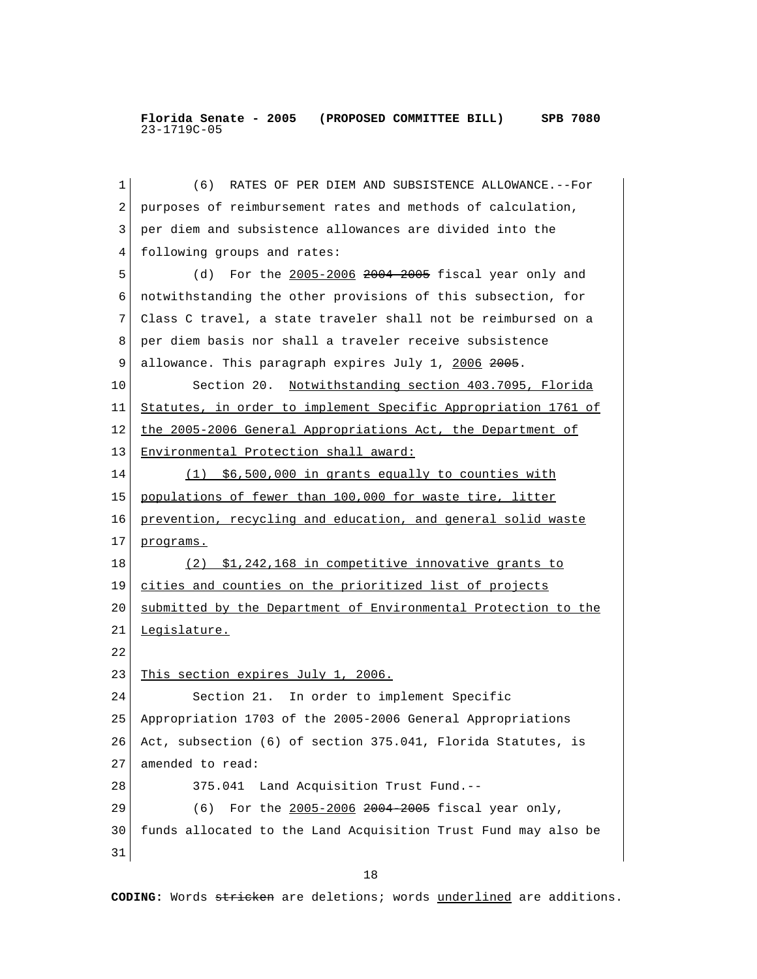1 (6) RATES OF PER DIEM AND SUBSISTENCE ALLOWANCE.--For 2 purposes of reimbursement rates and methods of calculation, 3 per diem and subsistence allowances are divided into the 4 following groups and rates: 5 (d) For the 2005-2006 2004 2005 fiscal year only and 6 notwithstanding the other provisions of this subsection, for 7 Class C travel, a state traveler shall not be reimbursed on a 8 per diem basis nor shall a traveler receive subsistence 9 allowance. This paragraph expires July 1, 2006 2005. 10 Section 20. Notwithstanding section 403.7095, Florida 11 Statutes, in order to implement Specific Appropriation 1761 of 12 the 2005-2006 General Appropriations Act, the Department of 13 Environmental Protection shall award: 14 (1) \$6,500,000 in grants equally to counties with 15 populations of fewer than 100,000 for waste tire, litter 16 prevention, recycling and education, and general solid waste 17 programs. 18 (2) \$1,242,168 in competitive innovative grants to 19 cities and counties on the prioritized list of projects 20 submitted by the Department of Environmental Protection to the 21 Legislature. 22 23 This section expires July 1, 2006. 24 Section 21. In order to implement Specific 25 Appropriation 1703 of the 2005-2006 General Appropriations 26 Act, subsection (6) of section 375.041, Florida Statutes, is 27 amended to read: 28 375.041 Land Acquisition Trust Fund.-- 29 (6) For the 2005-2006 2004 2005 fiscal year only, 30 funds allocated to the Land Acquisition Trust Fund may also be 31

18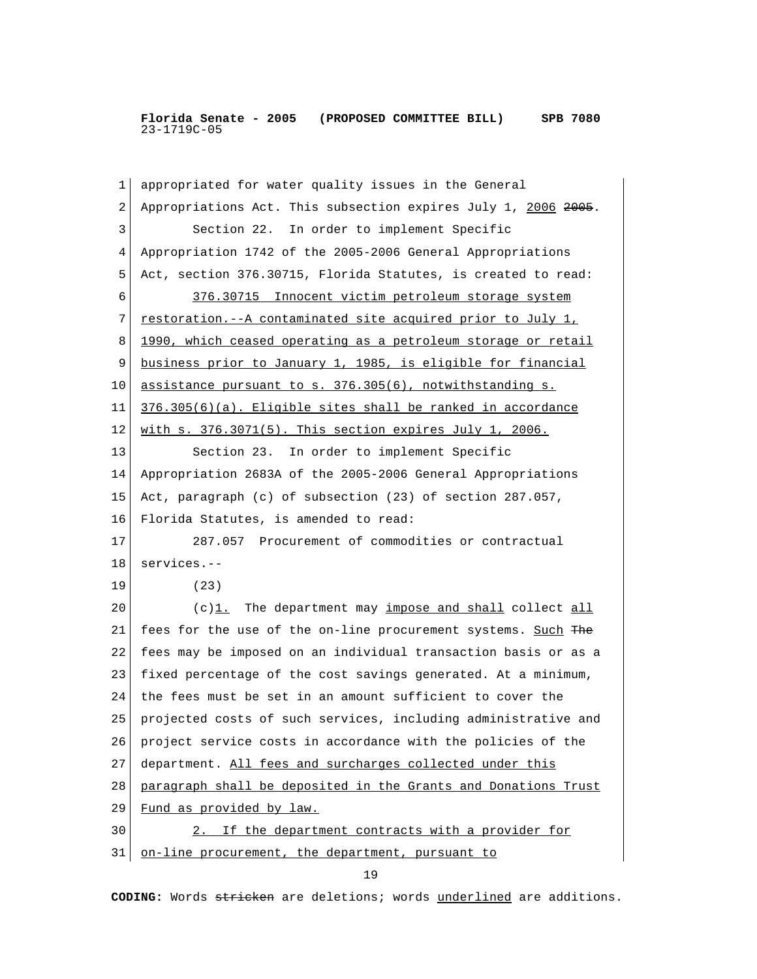1 appropriated for water quality issues in the General 2 Appropriations Act. This subsection expires July 1, 2006 2005. 3 Section 22. In order to implement Specific 4 Appropriation 1742 of the 2005-2006 General Appropriations 5 Act, section 376.30715, Florida Statutes, is created to read: 6 376.30715 Innocent victim petroleum storage system 7 restoration.--A contaminated site acquired prior to July 1, 8 1990, which ceased operating as a petroleum storage or retail 9 business prior to January 1, 1985, is eligible for financial 10 assistance pursuant to s. 376.305(6), notwithstanding s. 11  $376.305(6)(a)$ . Eligible sites shall be ranked in accordance 12 with s. 376.3071(5). This section expires July 1, 2006. 13 Section 23. In order to implement Specific 14 Appropriation 2683A of the 2005-2006 General Appropriations 15 Act, paragraph (c) of subsection (23) of section 287.057, 16 Florida Statutes, is amended to read: 17 287.057 Procurement of commodities or contractual 18 services.-- 19 (23) 20 (c) $1.$  The department may impose and shall collect all 21 fees for the use of the on-line procurement systems. Such The 22 fees may be imposed on an individual transaction basis or as a 23 fixed percentage of the cost savings generated. At a minimum, 24 the fees must be set in an amount sufficient to cover the 25 projected costs of such services, including administrative and 26 project service costs in accordance with the policies of the 27 department. All fees and surcharges collected under this 28 paragraph shall be deposited in the Grants and Donations Trust 29 Fund as provided by law. 30 2. If the department contracts with a provider for 31 on-line procurement, the department, pursuant to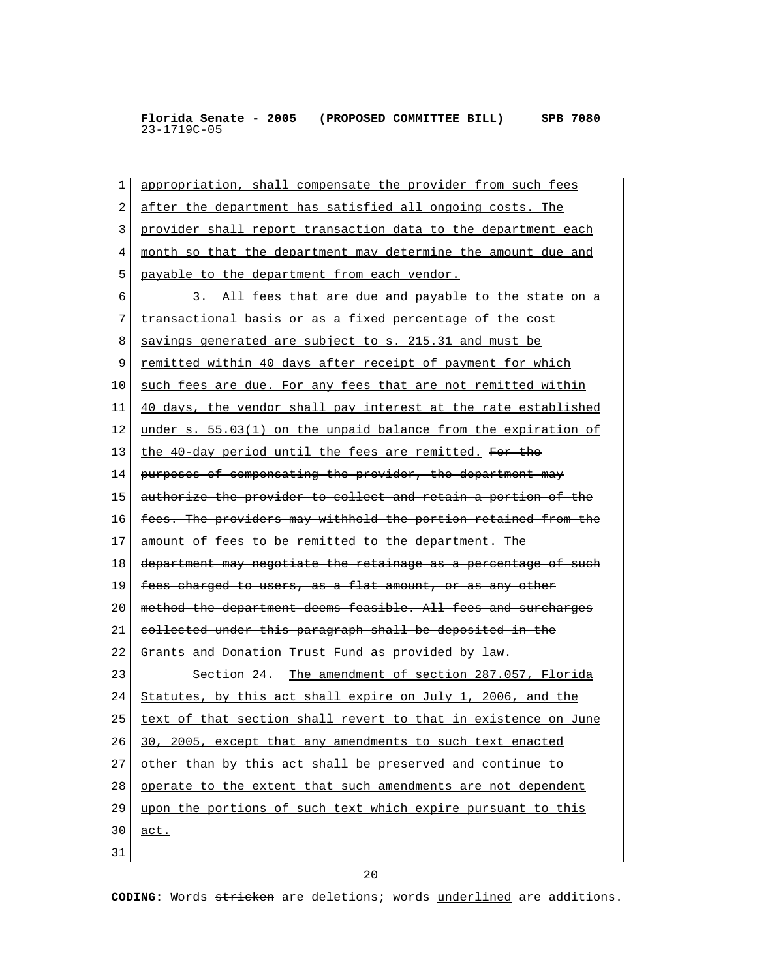1 appropriation, shall compensate the provider from such fees 2 after the department has satisfied all ongoing costs. The 3 provider shall report transaction data to the department each 4 month so that the department may determine the amount due and 5 payable to the department from each vendor. 6 3. All fees that are due and payable to the state on a 7 transactional basis or as a fixed percentage of the cost 8 savings generated are subject to s. 215.31 and must be 9 remitted within 40 days after receipt of payment for which 10 such fees are due. For any fees that are not remitted within 11 40 days, the vendor shall pay interest at the rate established 12 under s.  $55.03(1)$  on the unpaid balance from the expiration of 13 the 40-day period until the fees are remitted. For the 14 purposes of compensating the provider, the department may 15 authorize the provider to collect and retain a portion of the 16 fees. The providers may withhold the portion retained from the 17 amount of fees to be remitted to the department. The 18 department may negotiate the retainage as a percentage of such 19  $f$  <del>fees charged to users, as a flat amount, or as any other</del> 20 | method the department deems feasible. All fees and surcharges  $21$  collected under this paragraph shall be deposited in the 22 Grants and Donation Trust Fund as provided by law. 23 Section 24. The amendment of section 287.057, Florida 24 Statutes, by this act shall expire on July 1, 2006, and the 25 text of that section shall revert to that in existence on June 26 30, 2005, except that any amendments to such text enacted 27 other than by this act shall be preserved and continue to 28 operate to the extent that such amendments are not dependent 29 upon the portions of such text which expire pursuant to this 30 act. 31

20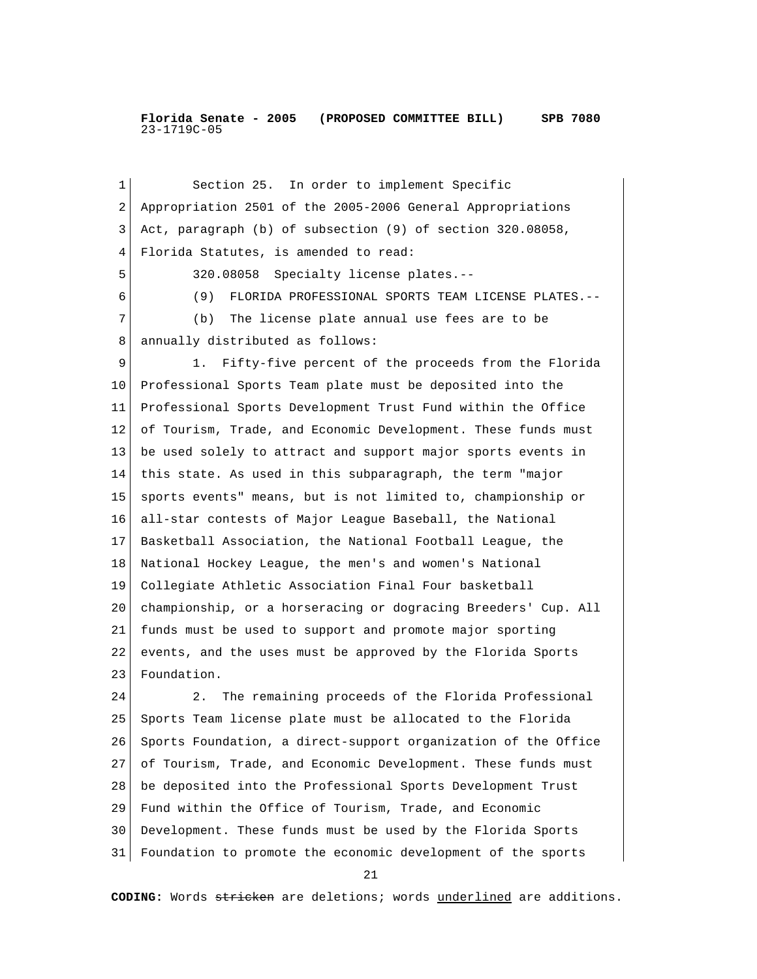1 Section 25. In order to implement Specific 2 Appropriation 2501 of the 2005-2006 General Appropriations 3 Act, paragraph (b) of subsection (9) of section 320.08058, 4 Florida Statutes, is amended to read: 5 320.08058 Specialty license plates.-- 6 (9) FLORIDA PROFESSIONAL SPORTS TEAM LICENSE PLATES.-- 7 (b) The license plate annual use fees are to be 8 annually distributed as follows: 9 1. Fifty-five percent of the proceeds from the Florida 10 Professional Sports Team plate must be deposited into the 11 Professional Sports Development Trust Fund within the Office 12 of Tourism, Trade, and Economic Development. These funds must 13 be used solely to attract and support major sports events in 14 this state. As used in this subparagraph, the term "major 15 sports events" means, but is not limited to, championship or 16 all-star contests of Major League Baseball, the National 17 Basketball Association, the National Football League, the 18 National Hockey League, the men's and women's National 19 Collegiate Athletic Association Final Four basketball 20 championship, or a horseracing or dogracing Breeders' Cup. All 21 funds must be used to support and promote major sporting 22 events, and the uses must be approved by the Florida Sports 23 Foundation. 24 2. The remaining proceeds of the Florida Professional 25 Sports Team license plate must be allocated to the Florida 26 Sports Foundation, a direct-support organization of the Office 27 of Tourism, Trade, and Economic Development. These funds must 28 be deposited into the Professional Sports Development Trust 29 Fund within the Office of Tourism, Trade, and Economic 30 Development. These funds must be used by the Florida Sports 31 Foundation to promote the economic development of the sports

21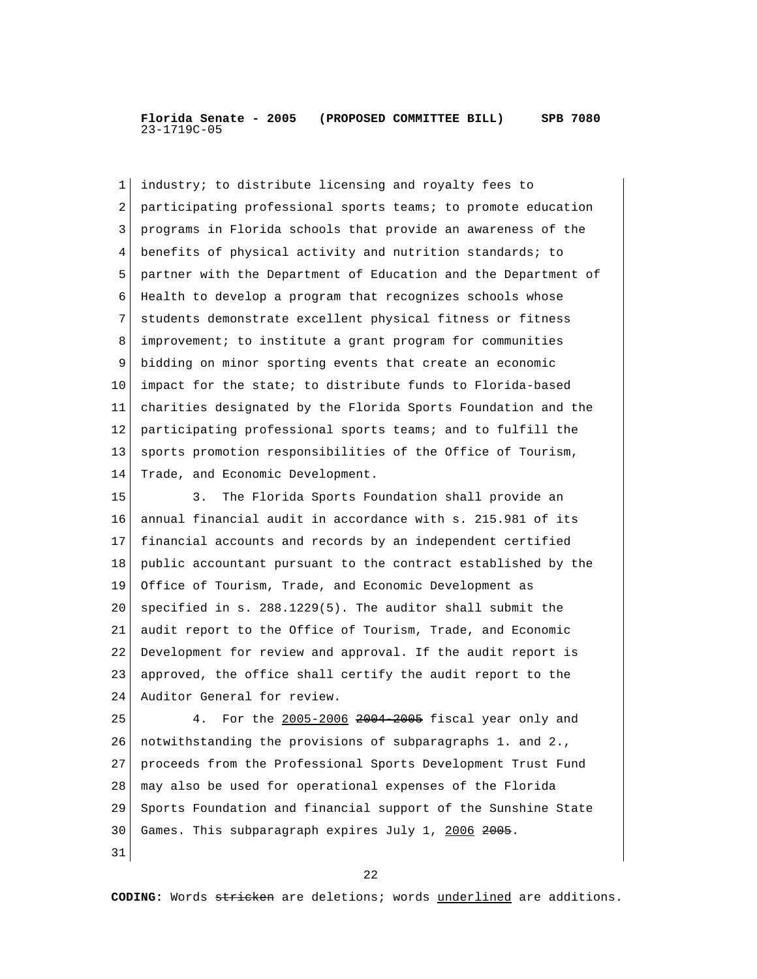1 industry; to distribute licensing and royalty fees to 2 participating professional sports teams; to promote education 3 programs in Florida schools that provide an awareness of the 4 benefits of physical activity and nutrition standards; to 5 partner with the Department of Education and the Department of 6 Health to develop a program that recognizes schools whose 7 students demonstrate excellent physical fitness or fitness 8 improvement; to institute a grant program for communities 9 bidding on minor sporting events that create an economic 10 impact for the state; to distribute funds to Florida-based 11 charities designated by the Florida Sports Foundation and the 12 participating professional sports teams; and to fulfill the 13 sports promotion responsibilities of the Office of Tourism, 14 Trade, and Economic Development. 15 3. The Florida Sports Foundation shall provide an 16 annual financial audit in accordance with s. 215.981 of its 17 financial accounts and records by an independent certified 18 public accountant pursuant to the contract established by the 19 Office of Tourism, Trade, and Economic Development as 20 specified in s.  $288.1229(5)$ . The auditor shall submit the 21 audit report to the Office of Tourism, Trade, and Economic 22 Development for review and approval. If the audit report is 23 approved, the office shall certify the audit report to the 24 Auditor General for review. 25 4. For the 2005-2006 2004 2005 fiscal year only and 26 notwithstanding the provisions of subparagraphs 1. and 2., 27 proceeds from the Professional Sports Development Trust Fund 28 may also be used for operational expenses of the Florida 29 Sports Foundation and financial support of the Sunshine State 30 Games. This subparagraph expires July 1, 2006 2005. 31

22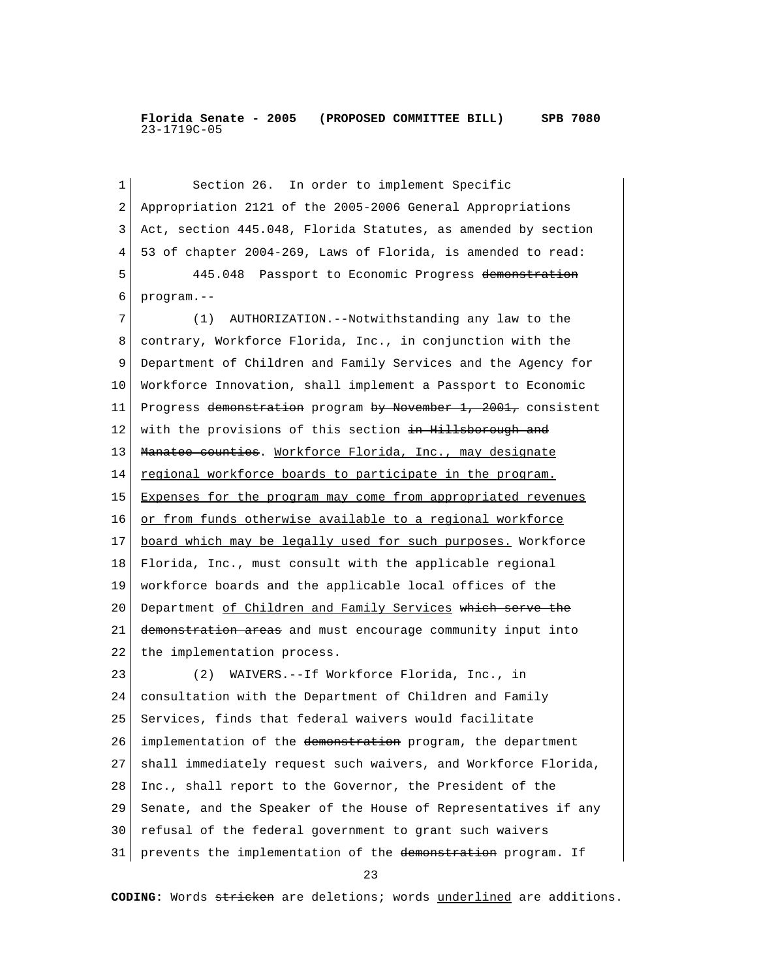1 Section 26. In order to implement Specific 2 Appropriation 2121 of the 2005-2006 General Appropriations 3 Act, section 445.048, Florida Statutes, as amended by section 4 53 of chapter 2004-269, Laws of Florida, is amended to read: 5 445.048 Passport to Economic Progress demonstration 6 program.-- 7 (1) AUTHORIZATION.--Notwithstanding any law to the 8 contrary, Workforce Florida, Inc., in conjunction with the 9 Department of Children and Family Services and the Agency for 10 Workforce Innovation, shall implement a Passport to Economic 11 Progress demonstration program by November 1, 2001, consistent 12 with the provisions of this section in Hillsborough and 13 | Manatee counties. Workforce Florida, Inc., may designate 14 regional workforce boards to participate in the program. 15 Expenses for the program may come from appropriated revenues 16 or from funds otherwise available to a regional workforce 17 board which may be legally used for such purposes. Workforce 18 Florida, Inc., must consult with the applicable regional 19 workforce boards and the applicable local offices of the 20 Department of Children and Family Services which serve the 21 demonstration areas and must encourage community input into 22 the implementation process. 23 (2) WAIVERS.--If Workforce Florida, Inc., in 24 consultation with the Department of Children and Family 25 Services, finds that federal waivers would facilitate 26 implementation of the demonstration program, the department 27 shall immediately request such waivers, and Workforce Florida, 28 Inc., shall report to the Governor, the President of the 29 Senate, and the Speaker of the House of Representatives if any 30 refusal of the federal government to grant such waivers 31 prevents the implementation of the demonstration program. If

23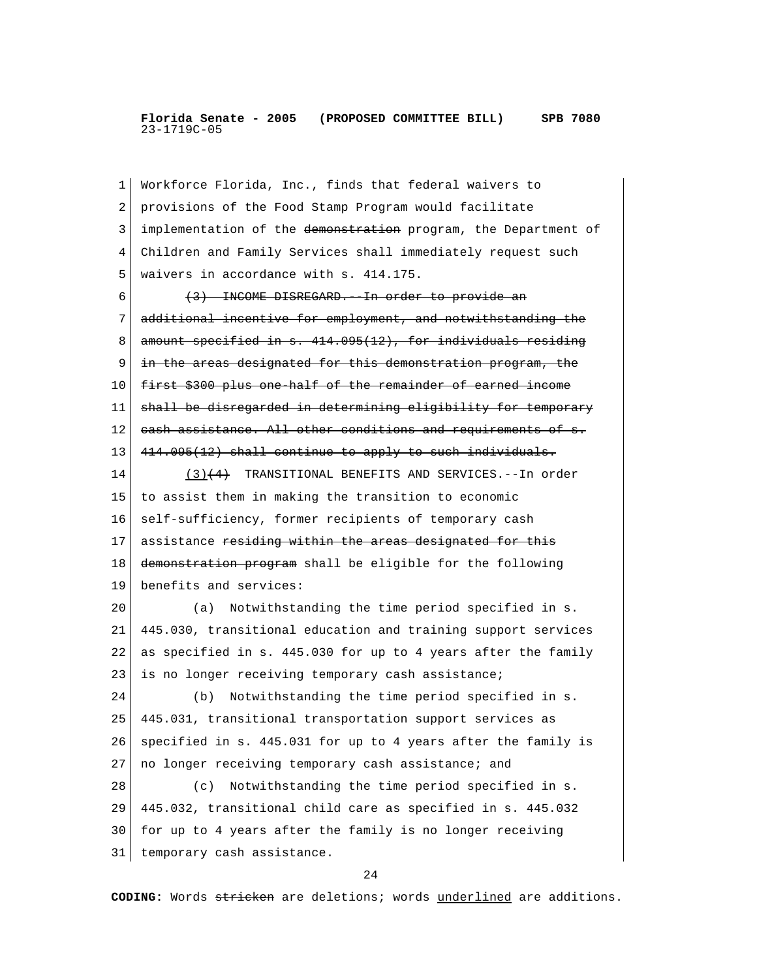1 Workforce Florida, Inc., finds that federal waivers to 2 provisions of the Food Stamp Program would facilitate 3 implementation of the demonstration program, the Department of 4 Children and Family Services shall immediately request such 5 | waivers in accordance with s. 414.175.  $6$  (3) INCOME DISREGARD. In order to provide an 7 additional incentive for employment, and notwithstanding the  $8 \mid$  amount specified in s.  $414.095(12)$ , for individuals residing 9 in the areas designated for this demonstration program, the 10 first \$300 plus one half of the remainder of earned income 11 shall be disregarded in determining eligibility for temporary 12 cash assistance. All other conditions and requirements of s. 13 4<del>14.095(12) shall continue to apply to such individuals.</del> 14 (3)(4) TRANSITIONAL BENEFITS AND SERVICES.--In order 15 to assist them in making the transition to economic 16 self-sufficiency, former recipients of temporary cash 17 assistance residing within the areas designated for this 18 demonstration program shall be eligible for the following 19 benefits and services: 20 (a) Notwithstanding the time period specified in s. 21 445.030, transitional education and training support services 22 as specified in s. 445.030 for up to 4 years after the family 23 is no longer receiving temporary cash assistance; 24 (b) Notwithstanding the time period specified in s. 25 445.031, transitional transportation support services as 26 specified in s. 445.031 for up to 4 years after the family is 27 no longer receiving temporary cash assistance; and 28 (c) Notwithstanding the time period specified in s. 29 445.032, transitional child care as specified in s. 445.032 30 for up to 4 years after the family is no longer receiving 31 temporary cash assistance.

24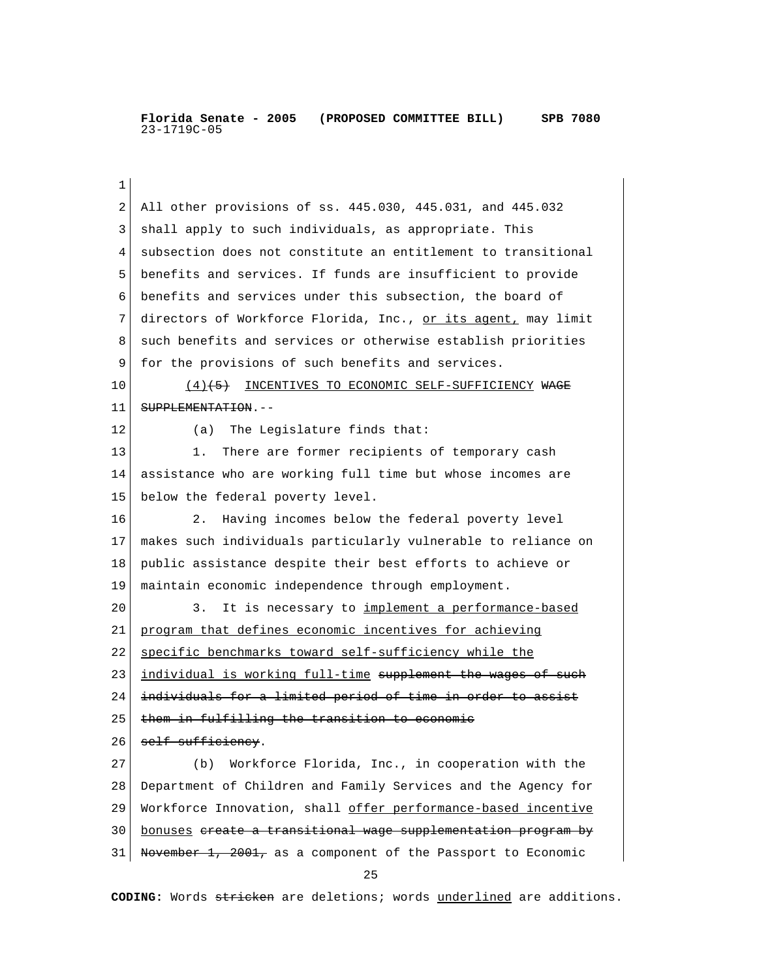1 2 All other provisions of ss. 445.030, 445.031, and 445.032 3 shall apply to such individuals, as appropriate. This 4 subsection does not constitute an entitlement to transitional 5 benefits and services. If funds are insufficient to provide 6 benefits and services under this subsection, the board of 7 directors of Workforce Florida, Inc., or its agent, may limit 8 such benefits and services or otherwise establish priorities 9 for the provisions of such benefits and services. 10 (4)<sup>(5)</sup> INCENTIVES TO ECONOMIC SELF-SUFFICIENCY WAGE 11 SUPPLEMENTATION.--12 (a) The Legislature finds that: 13 1. There are former recipients of temporary cash 14 assistance who are working full time but whose incomes are 15 below the federal poverty level. 16 2. Having incomes below the federal poverty level 17 makes such individuals particularly vulnerable to reliance on 18 public assistance despite their best efforts to achieve or 19 maintain economic independence through employment. 20 3. It is necessary to implement a performance-based 21 program that defines economic incentives for achieving 22 specific benchmarks toward self-sufficiency while the 23 individual is working full-time supplement the wages of such 24 individuals for a limited period of time in order to assist  $25$  them in fulfilling the transition to economic  $26$  self-sufficiency. 27 (b) Workforce Florida, Inc., in cooperation with the 28 Department of Children and Family Services and the Agency for 29 Workforce Innovation, shall offer performance-based incentive 30 bonuses create a transitional wage supplementation program by 31 November 1, 2001, as a component of the Passport to Economic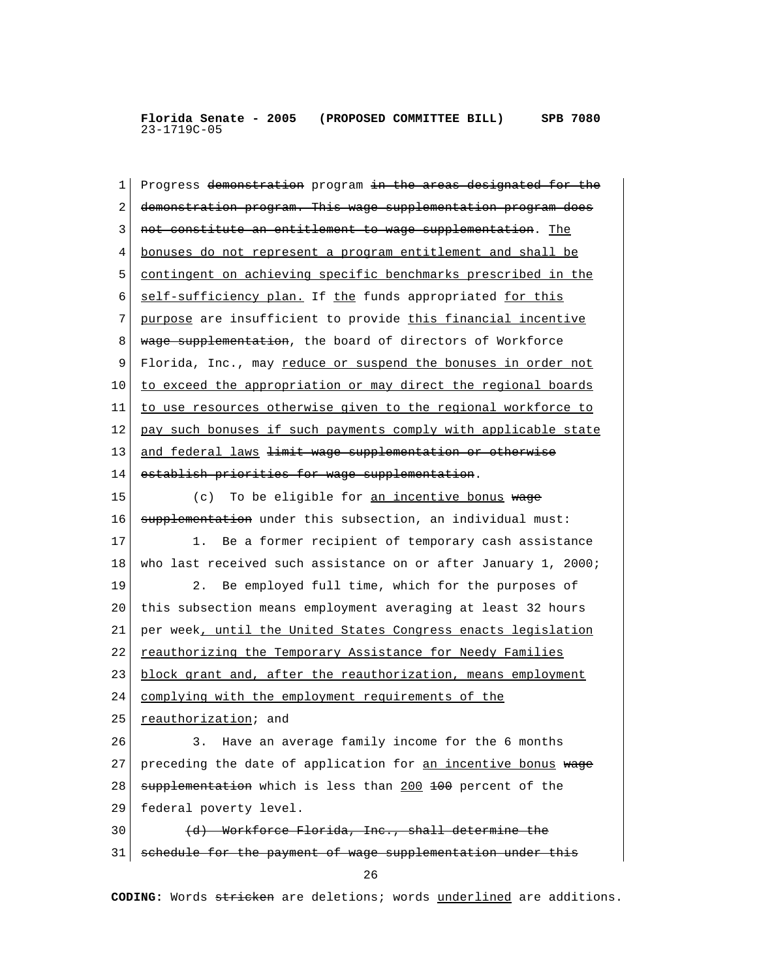1 Progress <del>demonstration</del> program in the areas designated for the 2 demonstration program. This wage supplementation program does 3 not constitute an entitlement to wage supplementation. The 4 bonuses do not represent a program entitlement and shall be 5 contingent on achieving specific benchmarks prescribed in the 6 self-sufficiency plan. If the funds appropriated for this 7 purpose are insufficient to provide this financial incentive 8 wage supplementation, the board of directors of Workforce 9 Florida, Inc., may reduce or suspend the bonuses in order not 10 to exceed the appropriation or may direct the regional boards 11 to use resources otherwise given to the regional workforce to 12 pay such bonuses if such payments comply with applicable state 13 and federal laws <del>limit wage supplementation or otherwise</del> 14 establish priorities for wage supplementation. 15 (c) To be eligible for <u>an incentive bonus</u> wage 16 supplementation under this subsection, an individual must: 17 1. Be a former recipient of temporary cash assistance 18 who last received such assistance on or after January 1, 2000; 19 2. Be employed full time, which for the purposes of 20 this subsection means employment averaging at least 32 hours 21 per week, until the United States Congress enacts legislation 22 reauthorizing the Temporary Assistance for Needy Families 23 block grant and, after the reauthorization, means employment 24 complying with the employment requirements of the 25 reauthorization; and 26 3. Have an average family income for the 6 months 27 preceding the date of application for an incentive bonus  $w = e$ 28 supplementation which is less than 200 +00 percent of the 29 federal poverty level. 30 (d) Workforce Florida, Inc., shall determine the 31 schedule for the payment of wage supplementation under this 26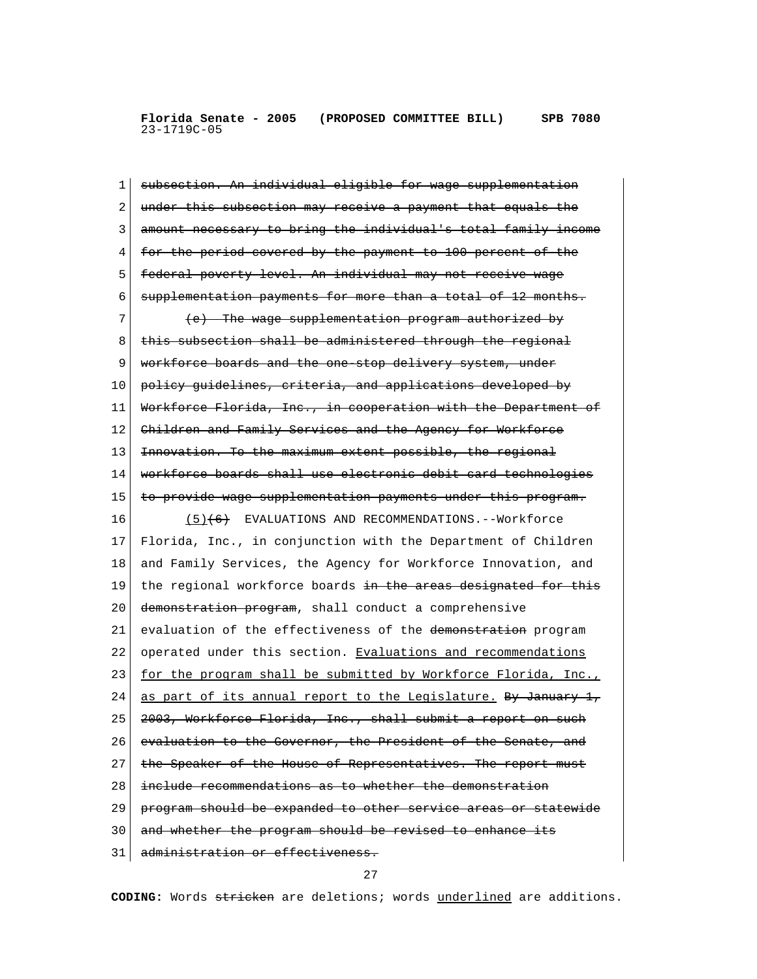1 subsection. An individual eligible for wage supplementation 2 under this subsection may receive a payment that equals the 3 amount necessary to bring the individual's total family income 4 for the period covered by the payment to 100 percent of the 5 federal poverty level. An individual may not receive wage 6 supplementation payments for more than a total of 12 months.  $7$  (e) The wage supplementation program authorized by 8 | this subsection shall be administered through the regional 9 workforce boards and the one stop delivery system, under 10 policy guidelines, criteria, and applications developed by 11 Workforce Florida, Inc., in cooperation with the Department of 12 Children and Family Services and the Agency for Workforce 13 | Innovation. To the maximum extent possible, the regional 14 workforce boards shall use electronic debit card technologies 15 to provide wage supplementation payments under this program. 16 (5)(6) EVALUATIONS AND RECOMMENDATIONS.--Workforce 17 Florida, Inc., in conjunction with the Department of Children 18 and Family Services, the Agency for Workforce Innovation, and 19 the regional workforce boards  $\frac{1}{2}$  the areas designated for this 20 <del>demonstration program</del>, shall conduct a comprehensive 21 evaluation of the effectiveness of the demonstration program 22 operated under this section. Evaluations and recommendations 23 for the program shall be submitted by Workforce Florida, Inc., 24 as part of its annual report to the Legislature. By January 1, 25 2003, Workforce Florida, Inc., shall submit a report on such 26 evaluation to the Governor, the President of the Senate, and 27 | the Speaker of the House of Representatives. The report must 28 include recommendations as to whether the demonstration 29 program should be expanded to other service areas or statewide 30 and whether the program should be revised to enhance its 31 administration or effectiveness.

27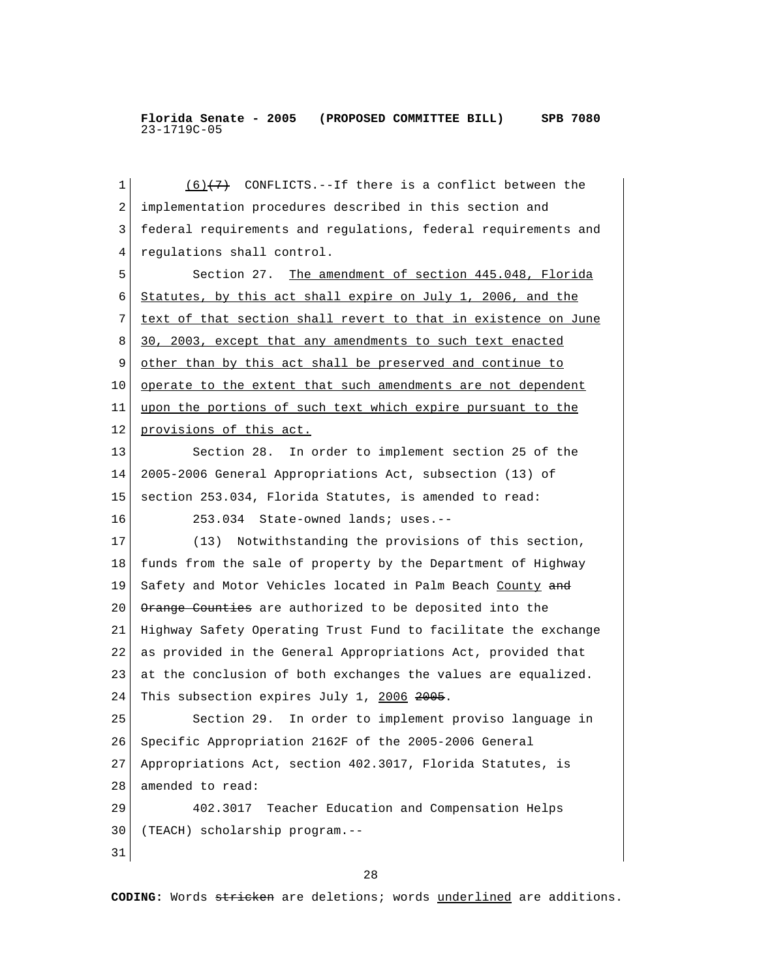1  $(6)$  (7) CONFLICTS.--If there is a conflict between the 2 implementation procedures described in this section and 3 federal requirements and regulations, federal requirements and 4 regulations shall control. 5 Section 27. The amendment of section 445.048, Florida 6 Statutes, by this act shall expire on July 1, 2006, and the 7 text of that section shall revert to that in existence on June 8 30, 2003, except that any amendments to such text enacted 9 other than by this act shall be preserved and continue to 10 operate to the extent that such amendments are not dependent 11 upon the portions of such text which expire pursuant to the 12 provisions of this act. 13 Section 28. In order to implement section 25 of the 14 2005-2006 General Appropriations Act, subsection (13) of 15 section 253.034, Florida Statutes, is amended to read: 16 253.034 State-owned lands; uses.-- 17 (13) Notwithstanding the provisions of this section, 18 funds from the sale of property by the Department of Highway 19 Safety and Motor Vehicles located in Palm Beach County and 20 | Orange Counties are authorized to be deposited into the 21 Highway Safety Operating Trust Fund to facilitate the exchange 22 as provided in the General Appropriations Act, provided that 23 at the conclusion of both exchanges the values are equalized. 24 This subsection expires July 1, 2006 2005. 25 Section 29. In order to implement proviso language in 26 Specific Appropriation 2162F of the 2005-2006 General 27 Appropriations Act, section 402.3017, Florida Statutes, is 28 amended to read: 29 402.3017 Teacher Education and Compensation Helps 30 (TEACH) scholarship program.-- 31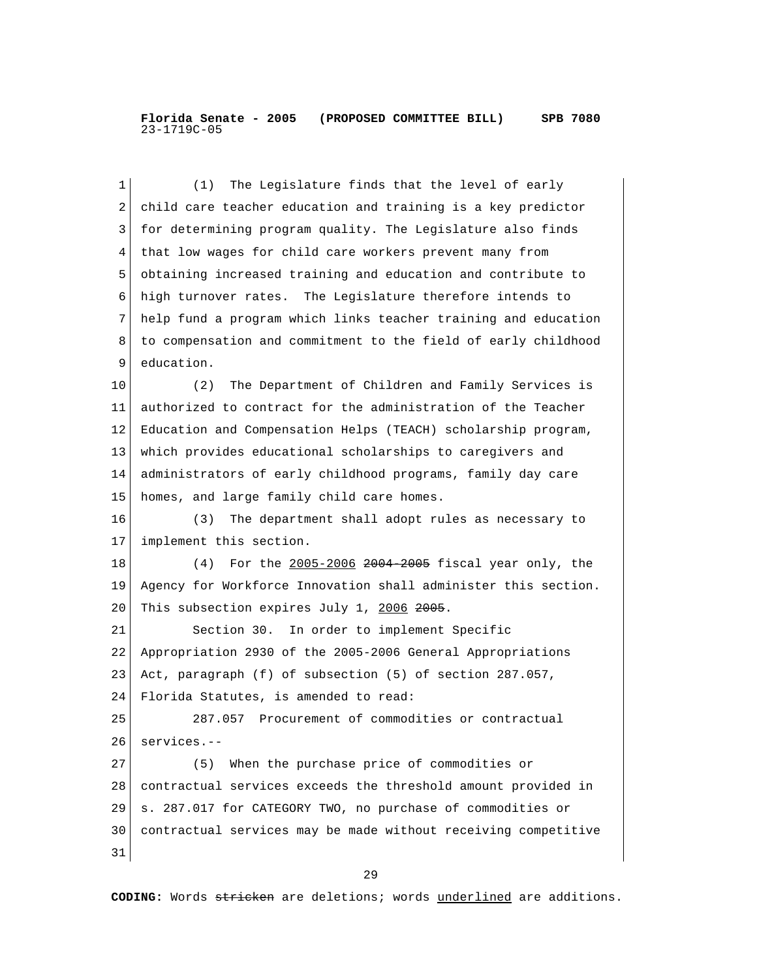1 (1) The Legislature finds that the level of early 2 child care teacher education and training is a key predictor 3 for determining program quality. The Legislature also finds 4 that low wages for child care workers prevent many from 5 obtaining increased training and education and contribute to 6 high turnover rates. The Legislature therefore intends to 7 help fund a program which links teacher training and education 8 to compensation and commitment to the field of early childhood 9 education. 10 (2) The Department of Children and Family Services is 11 authorized to contract for the administration of the Teacher 12 Education and Compensation Helps (TEACH) scholarship program, 13 which provides educational scholarships to caregivers and 14 administrators of early childhood programs, family day care 15 homes, and large family child care homes. 16 (3) The department shall adopt rules as necessary to 17 implement this section. 18 (4) For the 2005-2006 2004 2005 fiscal year only, the 19 Agency for Workforce Innovation shall administer this section. 20 This subsection expires July 1, 2006 2005. 21 Section 30. In order to implement Specific 22 Appropriation 2930 of the 2005-2006 General Appropriations 23 Act, paragraph (f) of subsection (5) of section 287.057, 24 Florida Statutes, is amended to read: 25 287.057 Procurement of commodities or contractual 26 services.-- 27 (5) When the purchase price of commodities or 28 contractual services exceeds the threshold amount provided in 29 s. 287.017 for CATEGORY TWO, no purchase of commodities or 30 contractual services may be made without receiving competitive 31 29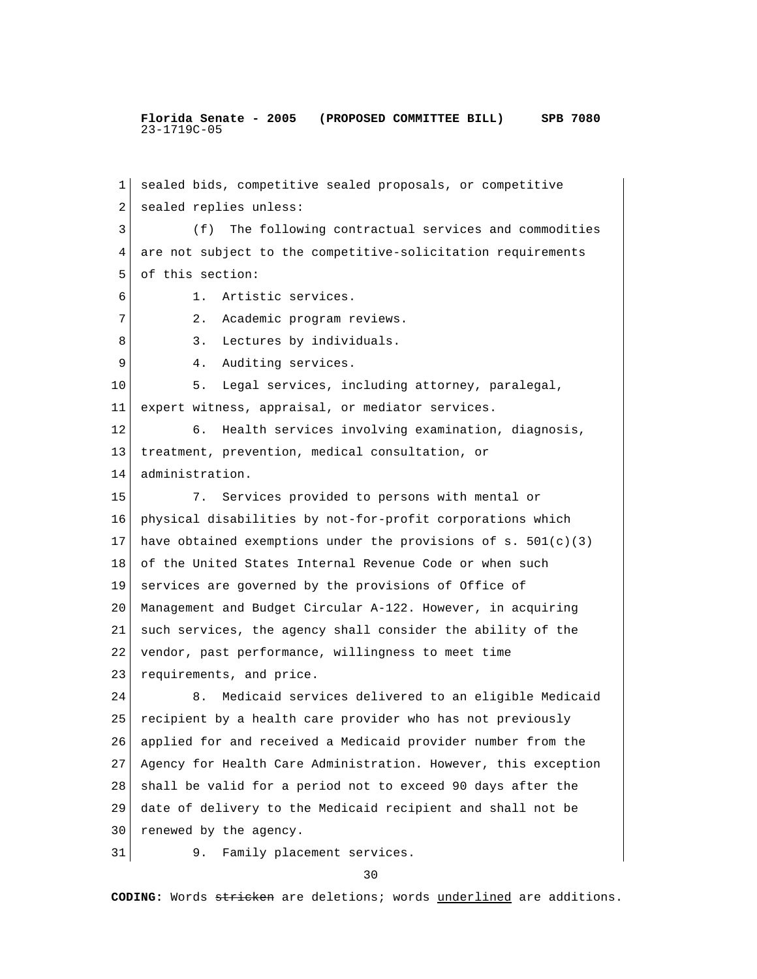1 sealed bids, competitive sealed proposals, or competitive 2 sealed replies unless: 3 (f) The following contractual services and commodities 4 are not subject to the competitive-solicitation requirements 5 of this section: 6 1. Artistic services. 7 | 2. Academic program reviews. 8 3. Lectures by individuals. 9 4. Auditing services. 10 5. Legal services, including attorney, paralegal, 11 expert witness, appraisal, or mediator services. 12 6. Health services involving examination, diagnosis, 13 treatment, prevention, medical consultation, or 14 administration. 15 7. Services provided to persons with mental or 16 physical disabilities by not-for-profit corporations which 17 have obtained exemptions under the provisions of s.  $501(c)(3)$ 18 of the United States Internal Revenue Code or when such 19 services are governed by the provisions of Office of 20 Management and Budget Circular A-122. However, in acquiring 21 such services, the agency shall consider the ability of the 22 vendor, past performance, willingness to meet time 23 requirements, and price. 24 8. Medicaid services delivered to an eligible Medicaid 25 recipient by a health care provider who has not previously 26 applied for and received a Medicaid provider number from the 27 Agency for Health Care Administration. However, this exception 28 shall be valid for a period not to exceed 90 days after the 29 date of delivery to the Medicaid recipient and shall not be 30 renewed by the agency. 31 9. Family placement services.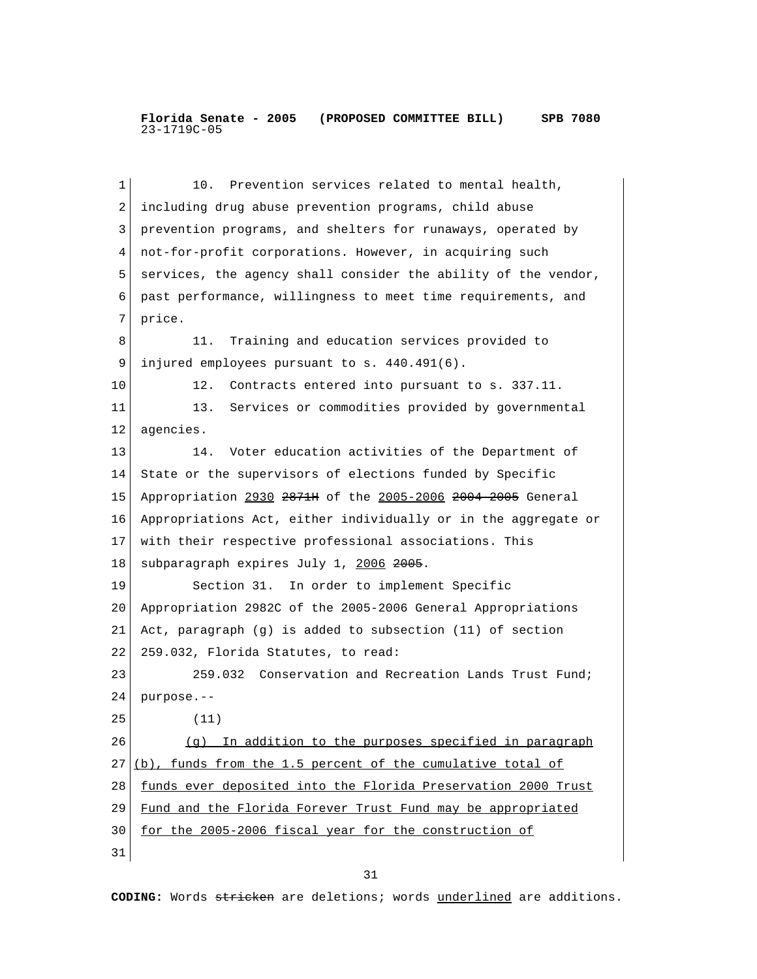1 10. Prevention services related to mental health, 2 including drug abuse prevention programs, child abuse 3 prevention programs, and shelters for runaways, operated by 4 not-for-profit corporations. However, in acquiring such 5 services, the agency shall consider the ability of the vendor, 6 past performance, willingness to meet time requirements, and 7 price. 8 11. Training and education services provided to 9 | injured employees pursuant to s. 440.491(6). 10 12. Contracts entered into pursuant to s. 337.11. 11 13. Services or commodities provided by governmental 12 agencies. 13 14. Voter education activities of the Department of 14 State or the supervisors of elections funded by Specific 15 Appropriation 2930 2871H of the 2005-2006 2004-2005 General 16 Appropriations Act, either individually or in the aggregate or 17 with their respective professional associations. This 18 subparagraph expires July 1, 2006 2005. 19 Section 31. In order to implement Specific 20 Appropriation 2982C of the 2005-2006 General Appropriations 21 Act, paragraph (g) is added to subsection (11) of section 22 259.032, Florida Statutes, to read: 23 259.032 Conservation and Recreation Lands Trust Fund; 24 purpose.-- 25 (11) 26 (g) In addition to the purposes specified in paragraph  $27 (b)$ , funds from the 1.5 percent of the cumulative total of 28 funds ever deposited into the Florida Preservation 2000 Trust 29 Fund and the Florida Forever Trust Fund may be appropriated 30 for the 2005-2006 fiscal year for the construction of 31

31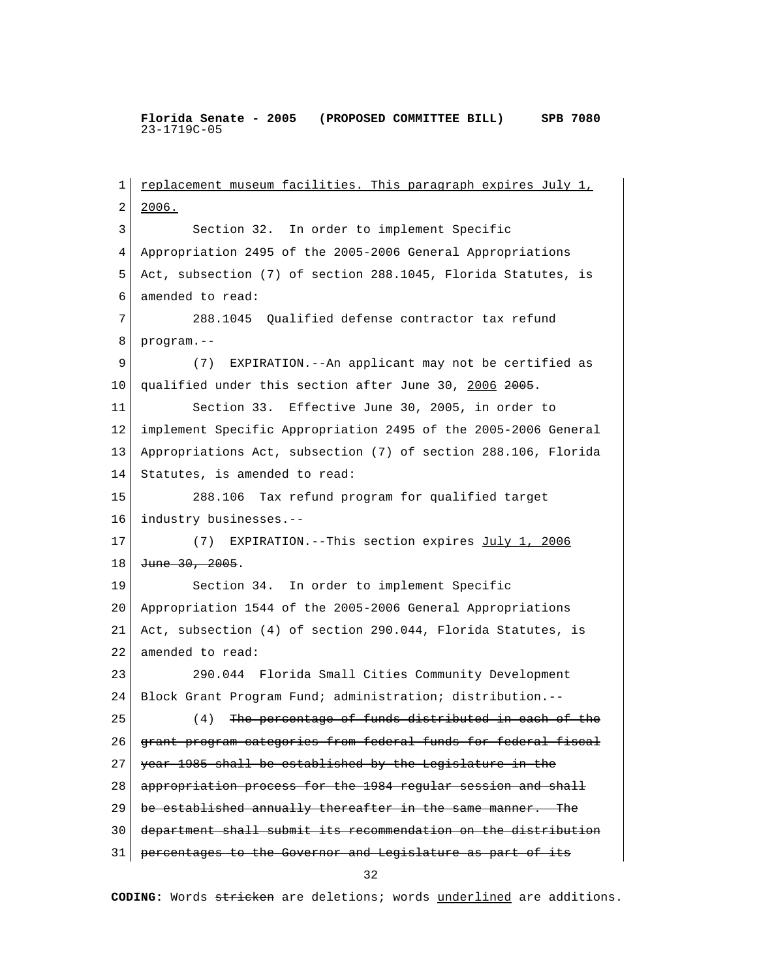1 replacement museum facilities. This paragraph expires July 1, 2 2006. 3 Section 32. In order to implement Specific 4 Appropriation 2495 of the 2005-2006 General Appropriations 5 Act, subsection (7) of section 288.1045, Florida Statutes, is 6 amended to read: 7 288.1045 Qualified defense contractor tax refund 8 program.-- 9 (7) EXPIRATION.--An applicant may not be certified as 10 qualified under this section after June 30, 2006 2005. 11 Section 33. Effective June 30, 2005, in order to 12 implement Specific Appropriation 2495 of the 2005-2006 General 13 Appropriations Act, subsection (7) of section 288.106, Florida 14 Statutes, is amended to read: 15 288.106 Tax refund program for qualified target 16 industry businesses.-- 17 (7) EXPIRATION.--This section expires July 1, 2006 18 June 30, 2005. 19 Section 34. In order to implement Specific 20 Appropriation 1544 of the 2005-2006 General Appropriations 21 Act, subsection (4) of section 290.044, Florida Statutes, is 22 amended to read: 23 290.044 Florida Small Cities Community Development 24 Block Grant Program Fund; administration; distribution.-- 25 (4) The percentage of funds distributed in each of the 26 grant program categories from federal funds for federal fiscal 27 year 1985 shall be established by the Legislature in the 28 appropriation process for the 1984 regular session and shall 29 be established annually thereafter in the same manner. The 30 department shall submit its recommendation on the distribution 31 percentages to the Governor and Legislature as part of its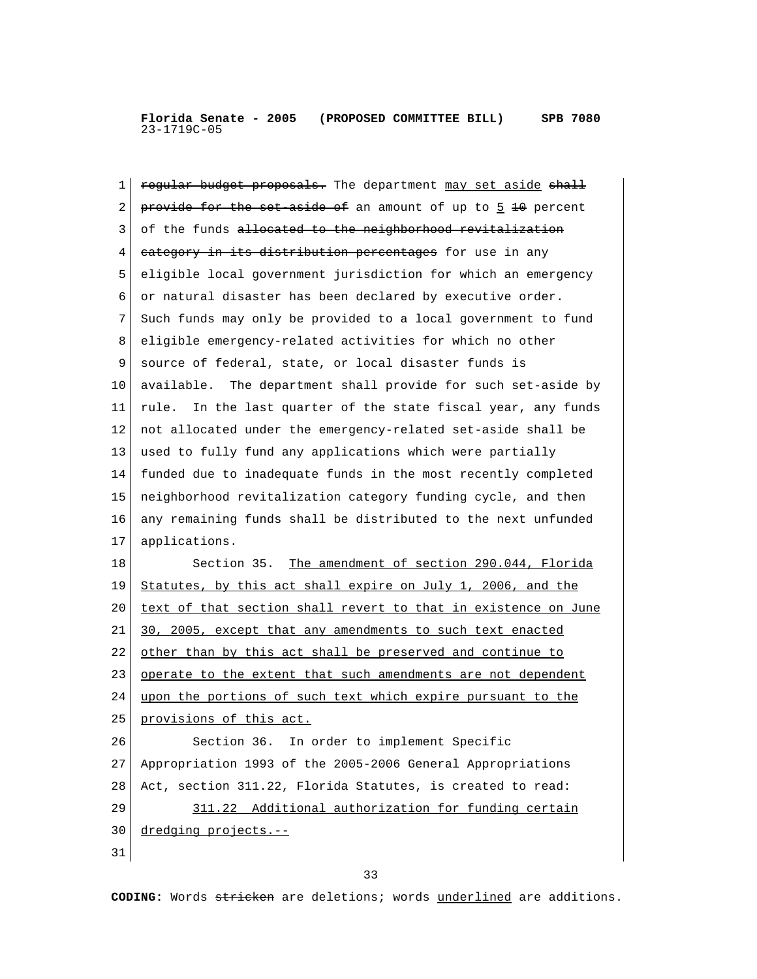1 **regular budget proposals.** The department may set aside shall 2 provide for the set aside of an amount of up to  $\frac{1}{2}$  + percent 3 of the funds allocated to the neighborhood revitalization 4 category in its distribution percentages for use in any 5 eligible local government jurisdiction for which an emergency 6 or natural disaster has been declared by executive order. 7 Such funds may only be provided to a local government to fund 8 eligible emergency-related activities for which no other 9 source of federal, state, or local disaster funds is 10 available. The department shall provide for such set-aside by 11 rule. In the last quarter of the state fiscal year, any funds 12 not allocated under the emergency-related set-aside shall be 13 used to fully fund any applications which were partially 14 funded due to inadequate funds in the most recently completed 15 neighborhood revitalization category funding cycle, and then 16 any remaining funds shall be distributed to the next unfunded 17 applications. 18 Section 35. The amendment of section 290.044, Florida 19 Statutes, by this act shall expire on July 1, 2006, and the 20 text of that section shall revert to that in existence on June 21 30, 2005, except that any amendments to such text enacted 22 other than by this act shall be preserved and continue to 23 operate to the extent that such amendments are not dependent 24 upon the portions of such text which expire pursuant to the 25 provisions of this act. 26 Section 36. In order to implement Specific 27 Appropriation 1993 of the 2005-2006 General Appropriations 28 Act, section 311.22, Florida Statutes, is created to read: 29 311.22 Additional authorization for funding certain 30 dredging projects.--31

33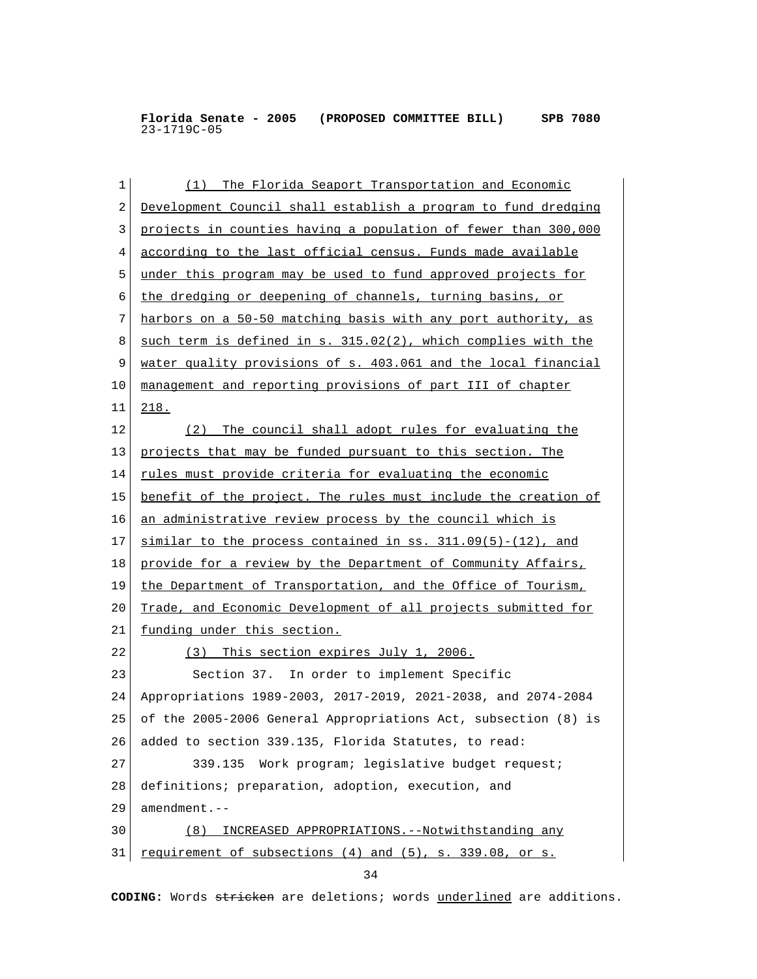| 1  | (1) The Florida Seaport Transportation and Economic            |
|----|----------------------------------------------------------------|
| 2  | Development Council shall establish a program to fund dredging |
| 3  | projects in counties having a population of fewer than 300,000 |
| 4  | according to the last official census. Funds made available    |
| 5  | under this program may be used to fund approved projects for   |
| 6  | the dredging or deepening of channels, turning basins, or      |
| 7  | harbors on a 50-50 matching basis with any port authority, as  |
| 8  | such term is defined in s. 315.02(2), which complies with the  |
| 9  | water quality provisions of s. 403.061 and the local financial |
| 10 | management and reporting provisions of part III of chapter     |
| 11 | 218.                                                           |
| 12 | (2) The council shall adopt rules for evaluating the           |
| 13 | projects that may be funded pursuant to this section. The      |
| 14 | rules must provide criteria for evaluating the economic        |
| 15 | benefit of the project. The rules must include the creation of |
| 16 | an administrative review process by the council which is       |
| 17 | $similar to the process contained in ss. 311.09(5)-(12)$ , and |
| 18 | provide for a review by the Department of Community Affairs,   |
| 19 | the Department of Transportation, and the Office of Tourism,   |
| 20 | Trade, and Economic Development of all projects submitted for  |
| 21 | funding under this section.                                    |
| 22 | (3) This section expires July 1, 2006.                         |
| 23 | Section 37. In order to implement Specific                     |
| 24 | Appropriations 1989-2003, 2017-2019, 2021-2038, and 2074-2084  |
| 25 | of the 2005-2006 General Appropriations Act, subsection (8) is |
| 26 | added to section 339.135, Florida Statutes, to read:           |
| 27 | 339.135<br>Work program; legislative budget request;           |
| 28 | definitions; preparation, adoption, execution, and             |
| 29 | amendment.--                                                   |
| 30 | INCREASED APPROPRIATIONS. -- Notwithstanding any<br>(8)        |
| 31 | requirement of subsections (4) and (5), s. 339.08, or s.       |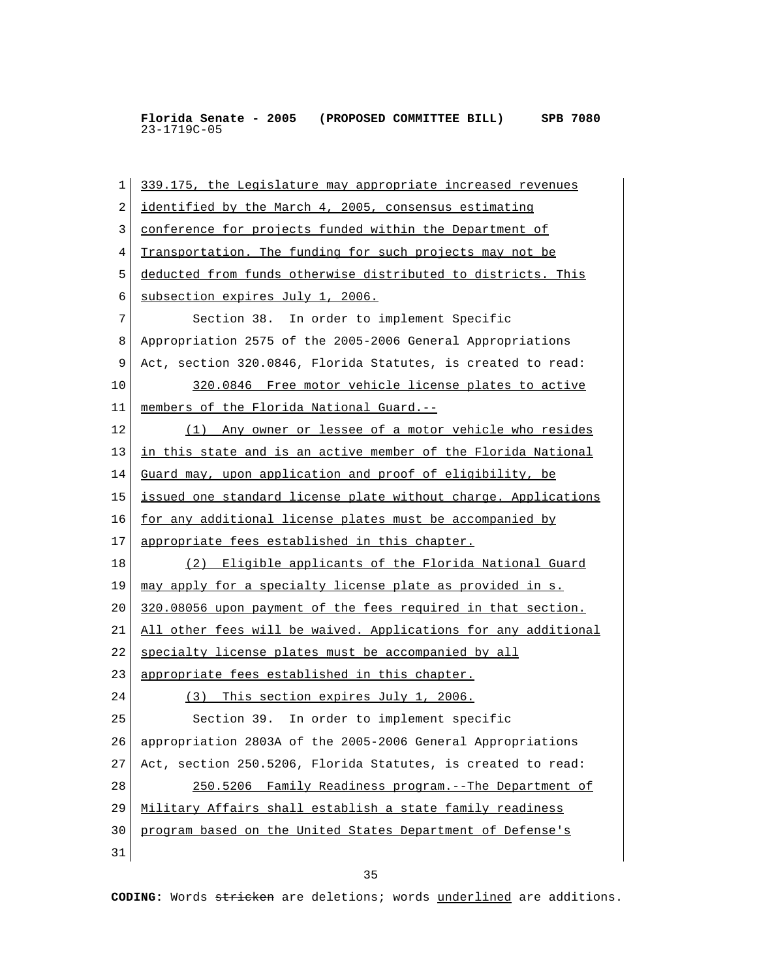1 339.175, the Legislature may appropriate increased revenues 2 identified by the March 4, 2005, consensus estimating 3 conference for projects funded within the Department of 4 Transportation. The funding for such projects may not be 5 deducted from funds otherwise distributed to districts. This 6 subsection expires July 1, 2006. 7 Section 38. In order to implement Specific 8 Appropriation 2575 of the 2005-2006 General Appropriations 9 Act, section 320.0846, Florida Statutes, is created to read: 10 320.0846 Free motor vehicle license plates to active 11 members of the Florida National Guard.-- 12 (1) Any owner or lessee of a motor vehicle who resides 13 | in this state and is an active member of the Florida National 14 Guard may, upon application and proof of eligibility, be 15 issued one standard license plate without charge. Applications 16 for any additional license plates must be accompanied by 17 appropriate fees established in this chapter. 18 (2) Eligible applicants of the Florida National Guard 19 may apply for a specialty license plate as provided in s. 20 320.08056 upon payment of the fees required in that section. 21 All other fees will be waived. Applications for any additional 22 specialty license plates must be accompanied by all 23 appropriate fees established in this chapter. 24 (3) This section expires July 1, 2006. 25 Section 39. In order to implement specific 26 appropriation 2803A of the 2005-2006 General Appropriations 27 Act, section 250.5206, Florida Statutes, is created to read: 28 250.5206 Family Readiness program.--The Department of 29 Military Affairs shall establish a state family readiness 30 program based on the United States Department of Defense's 31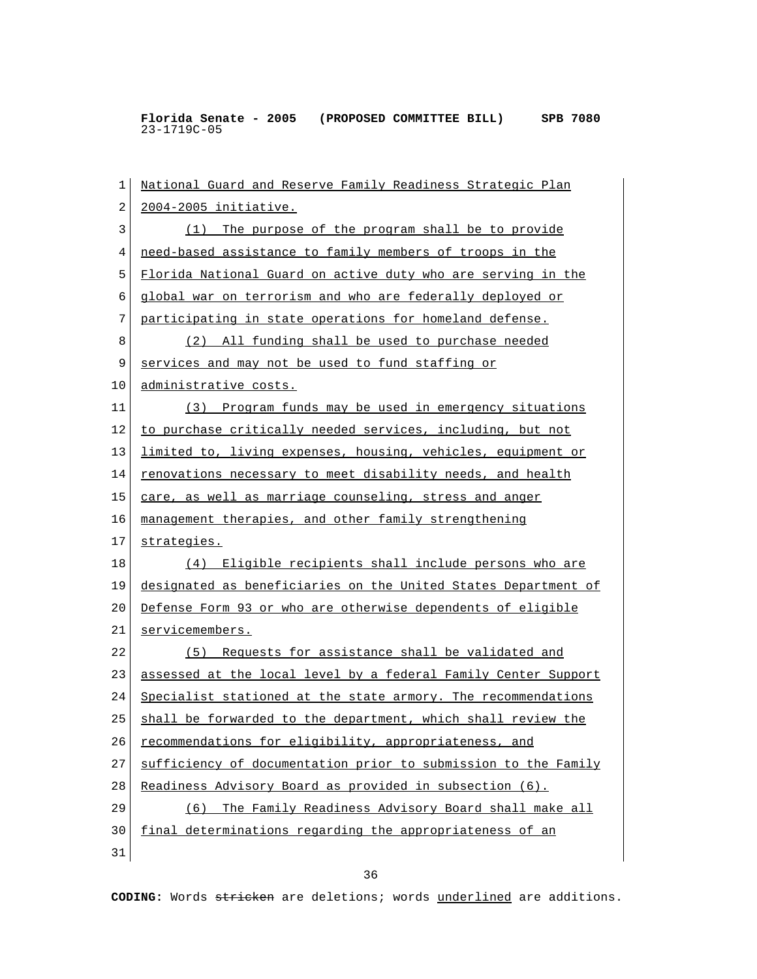1 National Guard and Reserve Family Readiness Strategic Plan 2 2004-2005 initiative. 3 (1) The purpose of the program shall be to provide 4 need-based assistance to family members of troops in the 5 Florida National Guard on active duty who are serving in the 6 global war on terrorism and who are federally deployed or 7 participating in state operations for homeland defense. 8 (2) All funding shall be used to purchase needed 9 services and may not be used to fund staffing or 10 administrative costs. 11 (3) Program funds may be used in emergency situations 12 to purchase critically needed services, including, but not 13 <u>limited to, living expenses, housing, vehicles, equipment or</u> 14 renovations necessary to meet disability needs, and health 15 | care, as well as marriage counseling, stress and anger 16 management therapies, and other family strengthening 17 strategies. 18 (4) Eligible recipients shall include persons who are 19 designated as beneficiaries on the United States Department of 20 Defense Form 93 or who are otherwise dependents of eligible 21 servicemembers. 22 (5) Requests for assistance shall be validated and 23 assessed at the local level by a federal Family Center Support 24 Specialist stationed at the state armory. The recommendations 25 shall be forwarded to the department, which shall review the 26 recommendations for eligibility, appropriateness, and 27 sufficiency of documentation prior to submission to the Family 28 Readiness Advisory Board as provided in subsection (6). 29 (6) The Family Readiness Advisory Board shall make all 30 final determinations regarding the appropriateness of an 31

<u>36 and 36</u>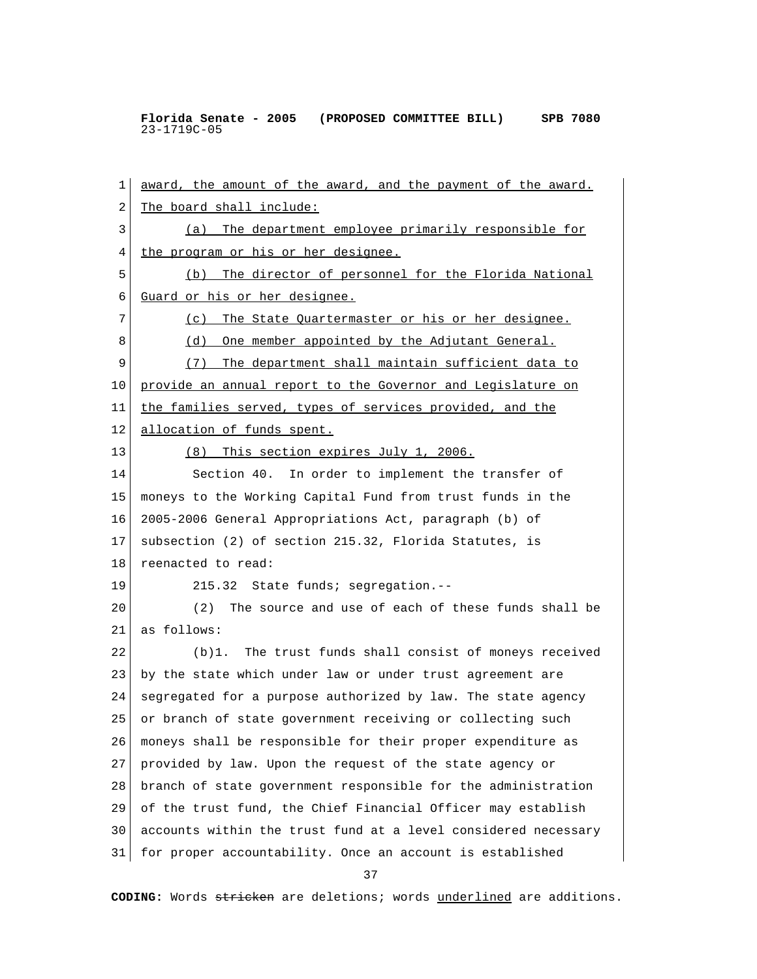1 award, the amount of the award, and the payment of the award. 2 The board shall include: 3 (a) The department employee primarily responsible for 4 the program or his or her designee. 5 (b) The director of personnel for the Florida National 6 Guard or his or her designee. 7 (c) The State Quartermaster or his or her designee. 8 (d) One member appointed by the Adjutant General. 9 (7) The department shall maintain sufficient data to 10 provide an annual report to the Governor and Legislature on 11 the families served, types of services provided, and the 12 allocation of funds spent. 13 (8) This section expires July 1, 2006. 14 Section 40. In order to implement the transfer of 15 moneys to the Working Capital Fund from trust funds in the 16 2005-2006 General Appropriations Act, paragraph (b) of 17 subsection (2) of section 215.32, Florida Statutes, is 18 reenacted to read: 19 215.32 State funds; segregation.-- 20 (2) The source and use of each of these funds shall be 21 as follows: 22 (b)1. The trust funds shall consist of moneys received 23 by the state which under law or under trust agreement are 24 segregated for a purpose authorized by law. The state agency 25 or branch of state government receiving or collecting such 26 moneys shall be responsible for their proper expenditure as 27 provided by law. Upon the request of the state agency or 28 branch of state government responsible for the administration 29 of the trust fund, the Chief Financial Officer may establish 30 accounts within the trust fund at a level considered necessary 31 for proper accountability. Once an account is established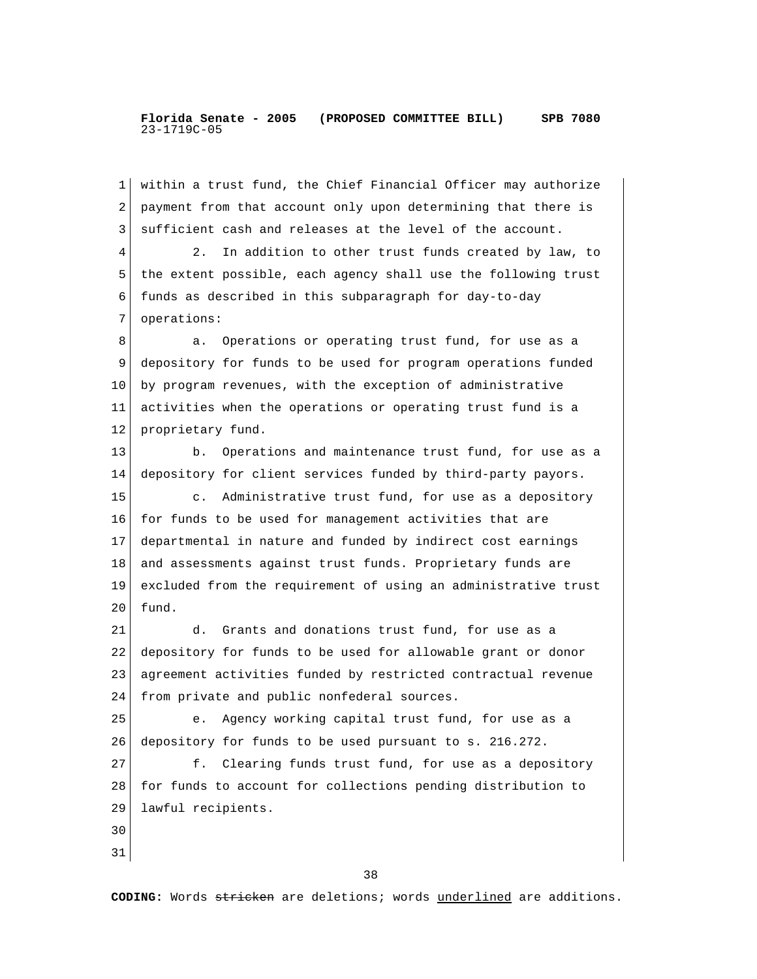1 within a trust fund, the Chief Financial Officer may authorize 2 payment from that account only upon determining that there is 3 sufficient cash and releases at the level of the account. 4 2. In addition to other trust funds created by law, to 5 the extent possible, each agency shall use the following trust 6 funds as described in this subparagraph for day-to-day 7 operations: 8 a. Operations or operating trust fund, for use as a 9 depository for funds to be used for program operations funded 10 by program revenues, with the exception of administrative 11 activities when the operations or operating trust fund is a 12 proprietary fund. 13 b. Operations and maintenance trust fund, for use as a 14 depository for client services funded by third-party payors. 15 c. Administrative trust fund, for use as a depository 16 for funds to be used for management activities that are 17 departmental in nature and funded by indirect cost earnings 18 and assessments against trust funds. Proprietary funds are 19 excluded from the requirement of using an administrative trust  $20$  fund. 21 d. Grants and donations trust fund, for use as a 22 depository for funds to be used for allowable grant or donor 23 agreement activities funded by restricted contractual revenue 24 from private and public nonfederal sources. 25 e. Agency working capital trust fund, for use as a 26 depository for funds to be used pursuant to s. 216.272. 27 f. Clearing funds trust fund, for use as a depository 28 for funds to account for collections pending distribution to 29 lawful recipients. 30 31

<u>38</u>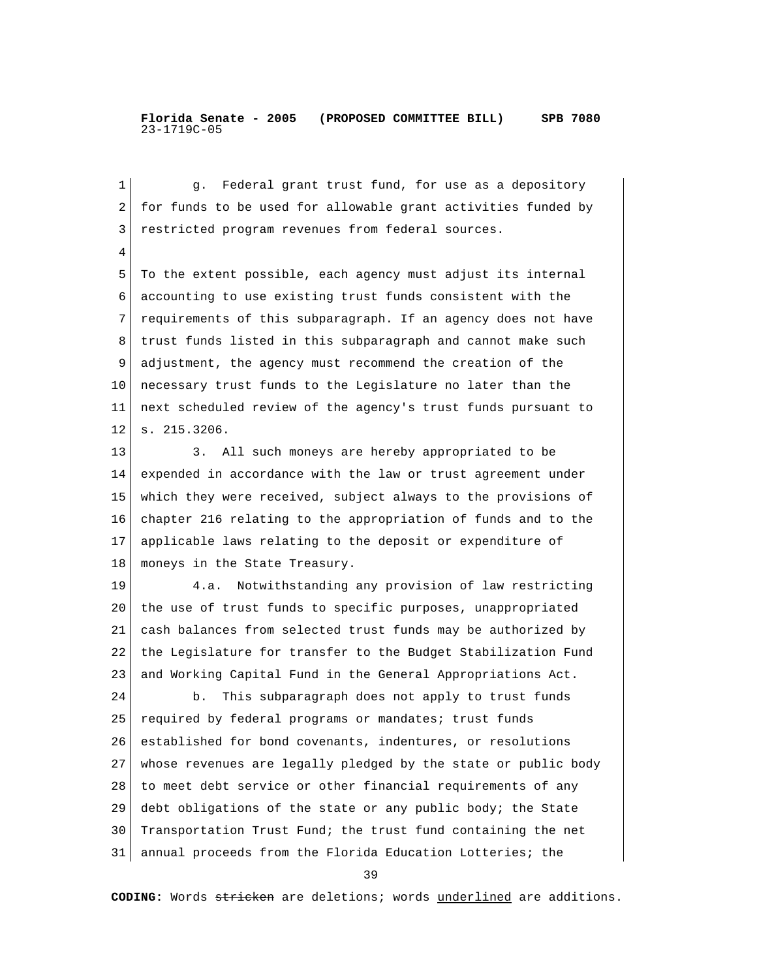1 g. Federal grant trust fund, for use as a depository 2 for funds to be used for allowable grant activities funded by 3 restricted program revenues from federal sources. 4 5 To the extent possible, each agency must adjust its internal 6 accounting to use existing trust funds consistent with the 7 requirements of this subparagraph. If an agency does not have 8 trust funds listed in this subparagraph and cannot make such 9 adjustment, the agency must recommend the creation of the 10 necessary trust funds to the Legislature no later than the 11 next scheduled review of the agency's trust funds pursuant to 12 s. 215.3206. 13 3. All such moneys are hereby appropriated to be 14 expended in accordance with the law or trust agreement under 15 which they were received, subject always to the provisions of 16 chapter 216 relating to the appropriation of funds and to the 17 applicable laws relating to the deposit or expenditure of 18 | moneys in the State Treasury. 19 4.a. Notwithstanding any provision of law restricting 20 the use of trust funds to specific purposes, unappropriated 21 cash balances from selected trust funds may be authorized by 22 the Legislature for transfer to the Budget Stabilization Fund 23 and Working Capital Fund in the General Appropriations Act. 24 b. This subparagraph does not apply to trust funds 25 required by federal programs or mandates; trust funds 26 established for bond covenants, indentures, or resolutions 27 whose revenues are legally pledged by the state or public body 28 to meet debt service or other financial requirements of any 29 debt obligations of the state or any public body; the State 30 Transportation Trust Fund; the trust fund containing the net 31 annual proceeds from the Florida Education Lotteries; the

39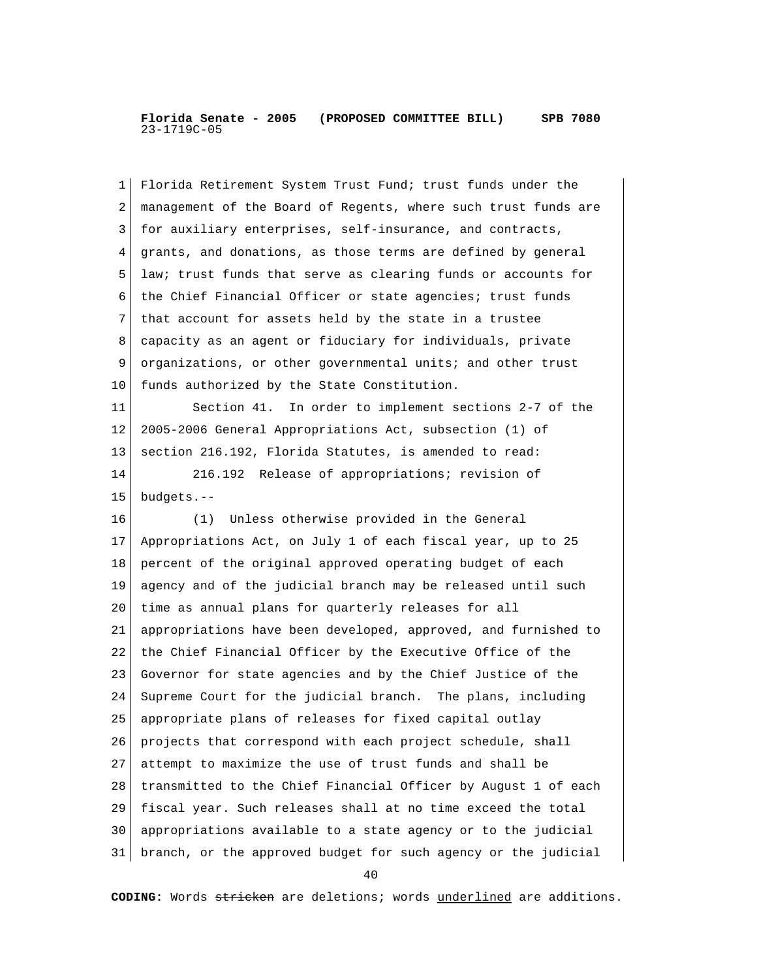| 1  | Florida Retirement System Trust Fund; trust funds under the    |
|----|----------------------------------------------------------------|
| 2  | management of the Board of Regents, where such trust funds are |
| 3  | for auxiliary enterprises, self-insurance, and contracts,      |
| 4  | grants, and donations, as those terms are defined by general   |
| 5  | law; trust funds that serve as clearing funds or accounts for  |
| 6  | the Chief Financial Officer or state agencies; trust funds     |
| 7  | that account for assets held by the state in a trustee         |
| 8  | capacity as an agent or fiduciary for individuals, private     |
| 9  | organizations, or other governmental units; and other trust    |
| 10 | funds authorized by the State Constitution.                    |
| 11 | Section 41. In order to implement sections 2-7 of the          |
| 12 | 2005-2006 General Appropriations Act, subsection (1) of        |
| 13 | section 216.192, Florida Statutes, is amended to read:         |
| 14 | 216.192 Release of appropriations; revision of                 |
| 15 | budgets.--                                                     |
| 16 | (1) Unless otherwise provided in the General                   |
| 17 | Appropriations Act, on July 1 of each fiscal year, up to 25    |
| 18 | percent of the original approved operating budget of each      |
| 19 | agency and of the judicial branch may be released until such   |
| 20 | time as annual plans for quarterly releases for all            |
| 21 | appropriations have been developed, approved, and furnished to |
| 22 | the Chief Financial Officer by the Executive Office of the     |
| 23 | Governor for state agencies and by the Chief Justice of the    |
| 24 | Supreme Court for the judicial branch. The plans, including    |
| 25 | appropriate plans of releases for fixed capital outlay         |
| 26 | projects that correspond with each project schedule, shall     |
| 27 | attempt to maximize the use of trust funds and shall be        |
| 28 | transmitted to the Chief Financial Officer by August 1 of each |
| 29 | fiscal year. Such releases shall at no time exceed the total   |
| 30 | appropriations available to a state agency or to the judicial  |
| 31 | branch, or the approved budget for such agency or the judicial |

40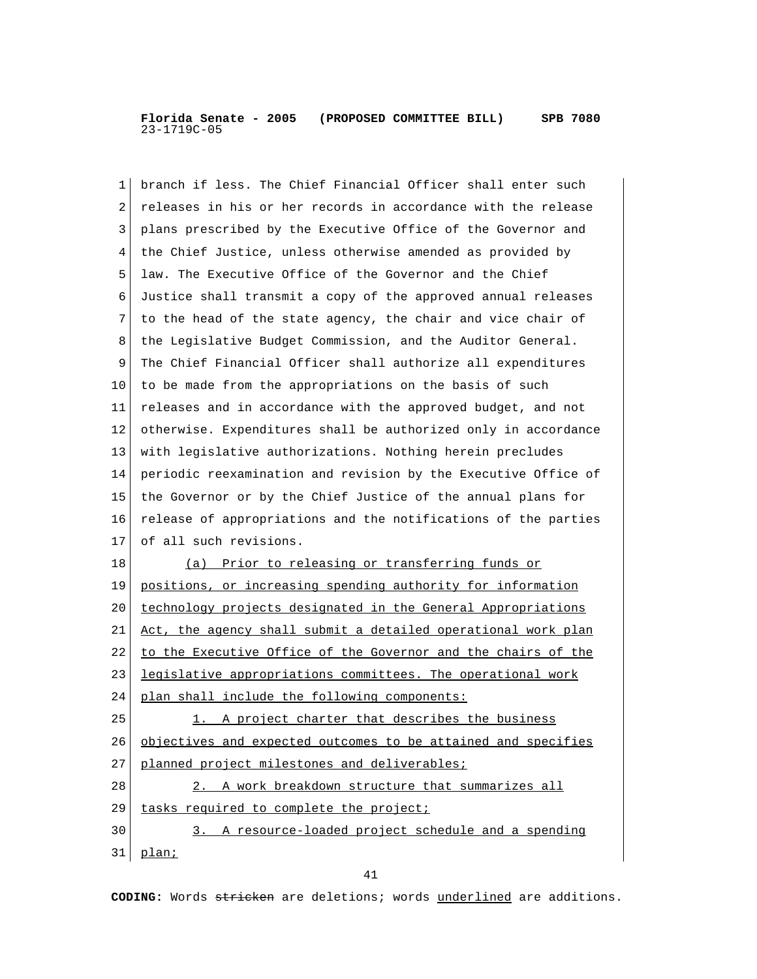1 branch if less. The Chief Financial Officer shall enter such 2 releases in his or her records in accordance with the release 3 plans prescribed by the Executive Office of the Governor and 4 the Chief Justice, unless otherwise amended as provided by 5 law. The Executive Office of the Governor and the Chief 6 Justice shall transmit a copy of the approved annual releases 7 to the head of the state agency, the chair and vice chair of 8 the Legislative Budget Commission, and the Auditor General. 9 The Chief Financial Officer shall authorize all expenditures 10 to be made from the appropriations on the basis of such 11 releases and in accordance with the approved budget, and not 12 otherwise. Expenditures shall be authorized only in accordance 13 with legislative authorizations. Nothing herein precludes 14 periodic reexamination and revision by the Executive Office of 15 the Governor or by the Chief Justice of the annual plans for 16 release of appropriations and the notifications of the parties 17 of all such revisions. 18 (a) Prior to releasing or transferring funds or 19 positions, or increasing spending authority for information 20 technology projects designated in the General Appropriations 21 Act, the agency shall submit a detailed operational work plan 22 to the Executive Office of the Governor and the chairs of the 23 legislative appropriations committees. The operational work 24 plan shall include the following components:  $25$  1. A project charter that describes the business 26 objectives and expected outcomes to be attained and specifies 27 planned project milestones and deliverables; 28 2. A work breakdown structure that summarizes all 29 tasks required to complete the project; 30 3. A resource-loaded project schedule and a spending 31 plan;

41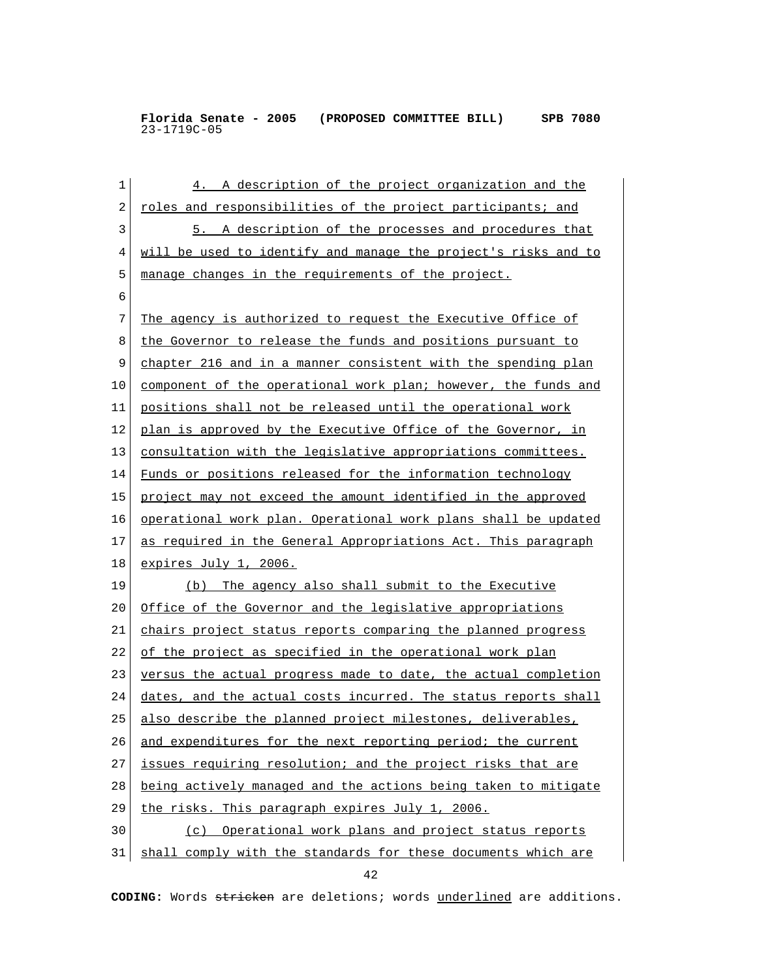1 4. A description of the project organization and the 2 roles and responsibilities of the project participants; and 3 5. A description of the processes and procedures that 4 will be used to identify and manage the project's risks and to 5 manage changes in the requirements of the project. 6 7 The agency is authorized to request the Executive Office of 8 the Governor to release the funds and positions pursuant to 9 chapter 216 and in a manner consistent with the spending plan 10 component of the operational work plan; however, the funds and 11 positions shall not be released until the operational work 12 plan is approved by the Executive Office of the Governor, in 13 consultation with the legislative appropriations committees. 14 Funds or positions released for the information technology 15 project may not exceed the amount identified in the approved 16 operational work plan. Operational work plans shall be updated 17 as required in the General Appropriations Act. This paragraph 18 expires July 1, 2006. 19 (b) The agency also shall submit to the Executive 20 Office of the Governor and the legislative appropriations 21 chairs project status reports comparing the planned progress 22 of the project as specified in the operational work plan 23 versus the actual progress made to date, the actual completion 24 dates, and the actual costs incurred. The status reports shall 25 also describe the planned project milestones, deliverables, 26 and expenditures for the next reporting period; the current 27 issues requiring resolution; and the project risks that are 28 being actively managed and the actions being taken to mitigate 29 the risks. This paragraph expires July 1, 2006. 30 (c) Operational work plans and project status reports 31 shall comply with the standards for these documents which are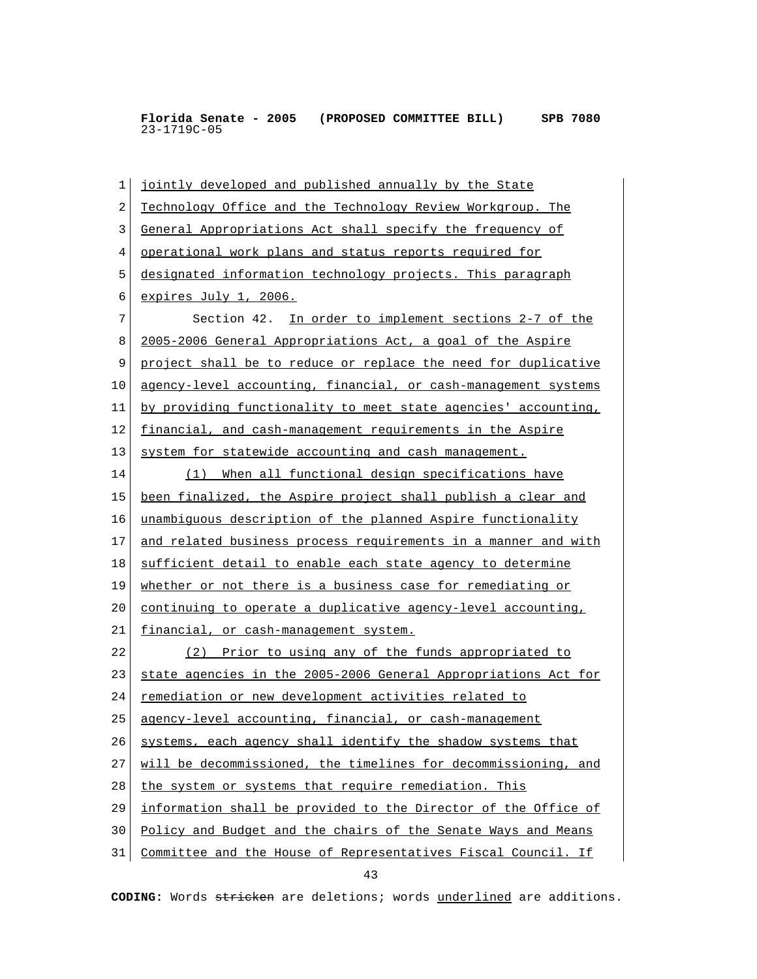1 jointly developed and published annually by the State 2 Technology Office and the Technology Review Workgroup. The 3 General Appropriations Act shall specify the frequency of 4 operational work plans and status reports required for 5 designated information technology projects. This paragraph 6 expires July 1, 2006. 7 Section 42. In order to implement sections 2-7 of the 8 2005-2006 General Appropriations Act, a goal of the Aspire 9 project shall be to reduce or replace the need for duplicative 10 agency-level accounting, financial, or cash-management systems 11 by providing functionality to meet state agencies' accounting, 12 financial, and cash-management requirements in the Aspire 13 system for statewide accounting and cash management. 14 (1) When all functional design specifications have 15 been finalized, the Aspire project shall publish a clear and 16 unambiguous description of the planned Aspire functionality 17 and related business process requirements in a manner and with 18 sufficient detail to enable each state agency to determine 19 whether or not there is a business case for remediating or 20 continuing to operate a duplicative agency-level accounting, 21 financial, or cash-management system. 22 (2) Prior to using any of the funds appropriated to 23 state agencies in the 2005-2006 General Appropriations Act for 24 remediation or new development activities related to 25 agency-level accounting, financial, or cash-management  $26$  systems, each agency shall identify the shadow systems that 27 will be decommissioned, the timelines for decommissioning, and 28 the system or systems that require remediation. This 29 information shall be provided to the Director of the Office of 30 Policy and Budget and the chairs of the Senate Ways and Means 31 Committee and the House of Representatives Fiscal Council. If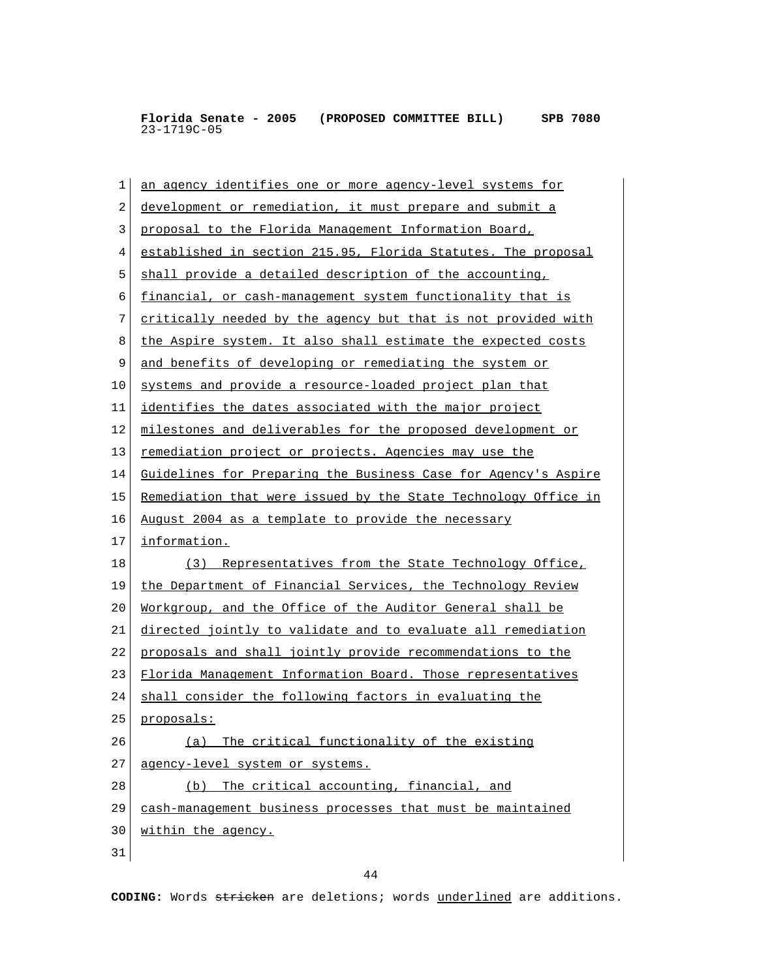| $\mathbf 1$ | an agency identifies one or more agency-level systems for      |
|-------------|----------------------------------------------------------------|
| 2           | development or remediation, it must prepare and submit a       |
| 3           | proposal to the Florida Management Information Board,          |
| 4           | established in section 215.95, Florida Statutes. The proposal  |
| 5           | shall provide a detailed description of the accounting,        |
| 6           | financial, or cash-management system functionality that is     |
| 7           | critically needed by the agency but that is not provided with  |
| 8           | the Aspire system. It also shall estimate the expected costs   |
| 9           | and benefits of developing or remediating the system or        |
| 10          | systems and provide a resource-loaded project plan that        |
| 11          | identifies the dates associated with the major project         |
| 12          | milestones and deliverables for the proposed development or    |
| 13          | remediation project or projects. Agencies may use the          |
| 14          | Guidelines for Preparing the Business Case for Agency's Aspire |
| 15          | Remediation that were issued by the State Technology Office in |
| 16          | August 2004 as a template to provide the necessary             |
| 17          | information.                                                   |
| 18          | (3) Representatives from the State Technology Office,          |
| 19          | the Department of Financial Services, the Technology Review    |
| 20          | Workgroup, and the Office of the Auditor General shall be      |
| 21          | directed jointly to validate and to evaluate all remediation   |
| 22          | proposals and shall jointly provide recommendations to the     |
| 23          | Florida Management Information Board. Those representatives    |
| 24          | shall consider the following factors in evaluating the         |
| 25          | proposals:                                                     |
| 26          | (a) The critical functionality of the existing                 |
| 27          | agency-level system or systems.                                |
| 28          | (b) The critical accounting, financial, and                    |
| 29          | cash-management business processes that must be maintained     |
| 30          | within the agency.                                             |
| 31          |                                                                |
|             |                                                                |

44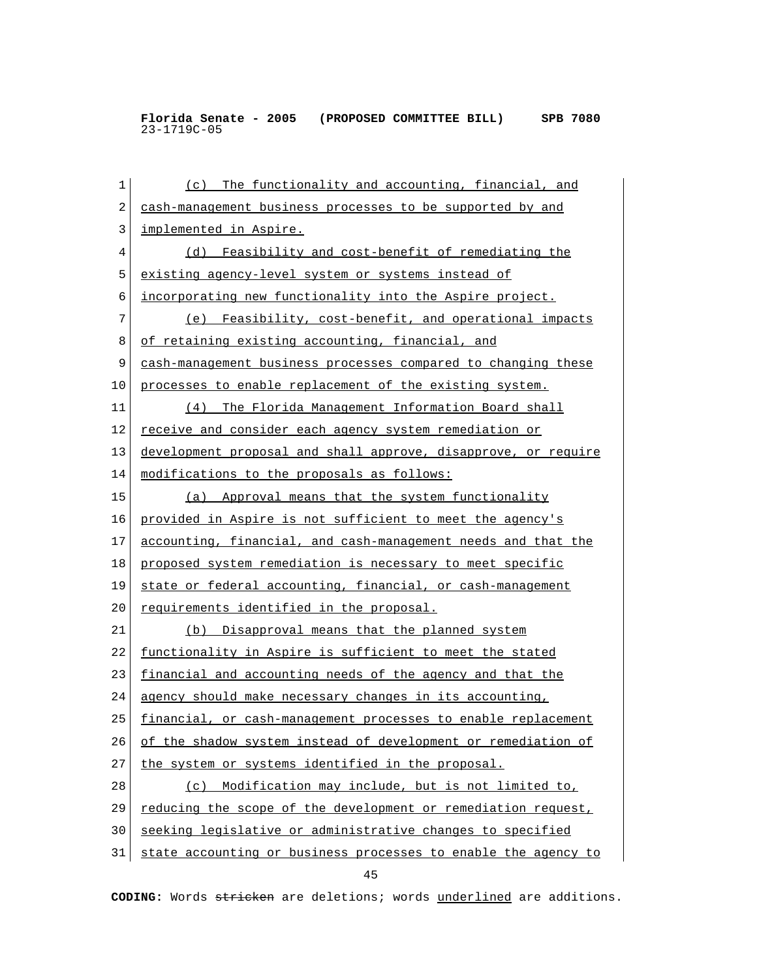| 1  | The functionality and accounting, financial, and<br>(c)         |
|----|-----------------------------------------------------------------|
| 2  | cash-management business processes to be supported by and       |
| 3  | implemented in Aspire.                                          |
| 4  | (d) Feasibility and cost-benefit of remediating the             |
| 5  | <u>existing agency-level system or systems instead of</u>       |
| 6  | <u>incorporating new functionality into the Aspire project.</u> |
| 7  | (e) Feasibility, cost-benefit, and operational impacts          |
| 8  | of retaining existing accounting, financial, and                |
| 9  | cash-management business processes compared to changing these   |
| 10 | processes to enable replacement of the existing system.         |
| 11 | (4) The Florida Management Information Board shall              |
| 12 | receive and consider each agency system remediation or          |
| 13 | development proposal and shall approve, disapprove, or require  |
| 14 | modifications to the proposals as follows:                      |
| 15 | (a) Approval means that the system functionality                |
| 16 | provided in Aspire is not sufficient to meet the agency's       |
| 17 | accounting, financial, and cash-management needs and that the   |
| 18 | proposed system remediation is necessary to meet specific       |
| 19 | state or federal accounting, financial, or cash-management      |
| 20 | requirements identified in the proposal.                        |
| 21 | (b) Disapproval means that the planned system                   |
| 22 | functionality in Aspire is sufficient to meet the stated        |
| 23 | financial and accounting needs of the agency and that the       |
| 24 | agency should make necessary changes in its accounting,         |
| 25 | financial, or cash-management processes to enable replacement   |
| 26 | of the shadow system instead of development or remediation of   |
| 27 | the system or systems identified in the proposal.               |
| 28 | (c) Modification may include, but is not limited to,            |
| 29 | reducing the scope of the development or remediation request,   |
| 30 | seeking legislative or administrative changes to specified      |
| 31 | state accounting or business processes to enable the agency to  |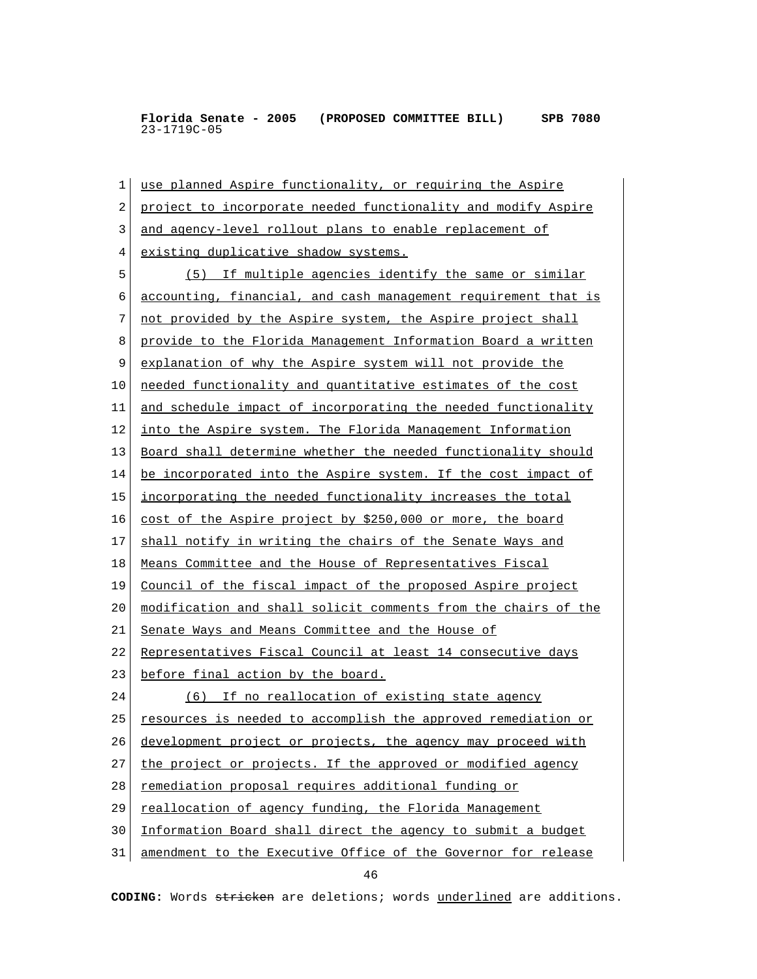1 use planned Aspire functionality, or requiring the Aspire 2 project to incorporate needed functionality and modify Aspire 3 and agency-level rollout plans to enable replacement of 4 existing duplicative shadow systems. 5 (5) If multiple agencies identify the same or similar 6 accounting, financial, and cash management requirement that is 7 not provided by the Aspire system, the Aspire project shall 8 provide to the Florida Management Information Board a written 9 explanation of why the Aspire system will not provide the 10 needed functionality and quantitative estimates of the cost 11 and schedule impact of incorporating the needed functionality 12 into the Aspire system. The Florida Management Information 13 Board shall determine whether the needed functionality should 14 be incorporated into the Aspire system. If the cost impact of 15 incorporating the needed functionality increases the total 16 cost of the Aspire project by \$250,000 or more, the board 17 shall notify in writing the chairs of the Senate Ways and 18 Means Committee and the House of Representatives Fiscal 19 Council of the fiscal impact of the proposed Aspire project 20 modification and shall solicit comments from the chairs of the 21 Senate Ways and Means Committee and the House of 22 Representatives Fiscal Council at least 14 consecutive days 23 before final action by the board. 24 (6) If no reallocation of existing state agency 25 resources is needed to accomplish the approved remediation or 26 development project or projects, the agency may proceed with 27 the project or projects. If the approved or modified agency 28 remediation proposal requires additional funding or 29 reallocation of agency funding, the Florida Management 30 Information Board shall direct the agency to submit a budget 31 amendment to the Executive Office of the Governor for release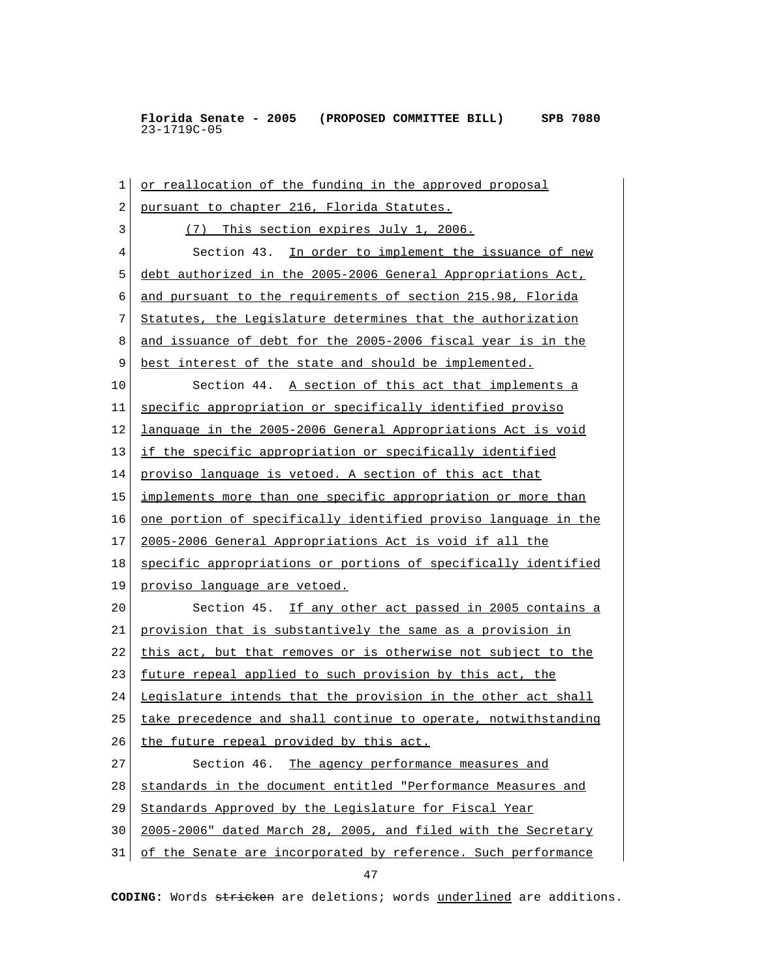1 or reallocation of the funding in the approved proposal 2 pursuant to chapter 216, Florida Statutes. 3 (7) This section expires July 1, 2006. 4 Section 43. In order to implement the issuance of new 5 debt authorized in the 2005-2006 General Appropriations Act, 6 and pursuant to the requirements of section 215.98, Florida 7 Statutes, the Legislature determines that the authorization 8 and issuance of debt for the 2005-2006 fiscal year is in the 9 best interest of the state and should be implemented. 10 Section 44. A section of this act that implements a 11 specific appropriation or specifically identified proviso 12 language in the 2005-2006 General Appropriations Act is void 13 if the specific appropriation or specifically identified 14 proviso language is vetoed. A section of this act that 15 implements more than one specific appropriation or more than 16 one portion of specifically identified proviso language in the 17 2005-2006 General Appropriations Act is void if all the 18 specific appropriations or portions of specifically identified 19 proviso language are vetoed. 20 Section 45. If any other act passed in 2005 contains a 21 provision that is substantively the same as a provision in 22 this act, but that removes or is otherwise not subject to the 23 future repeal applied to such provision by this act, the 24 Legislature intends that the provision in the other act shall 25 take precedence and shall continue to operate, notwithstanding 26 the future repeal provided by this act. 27 Section 46. The agency performance measures and 28 standards in the document entitled "Performance Measures and 29 Standards Approved by the Legislature for Fiscal Year 30 2005-2006" dated March 28, 2005, and filed with the Secretary 31 of the Senate are incorporated by reference. Such performance